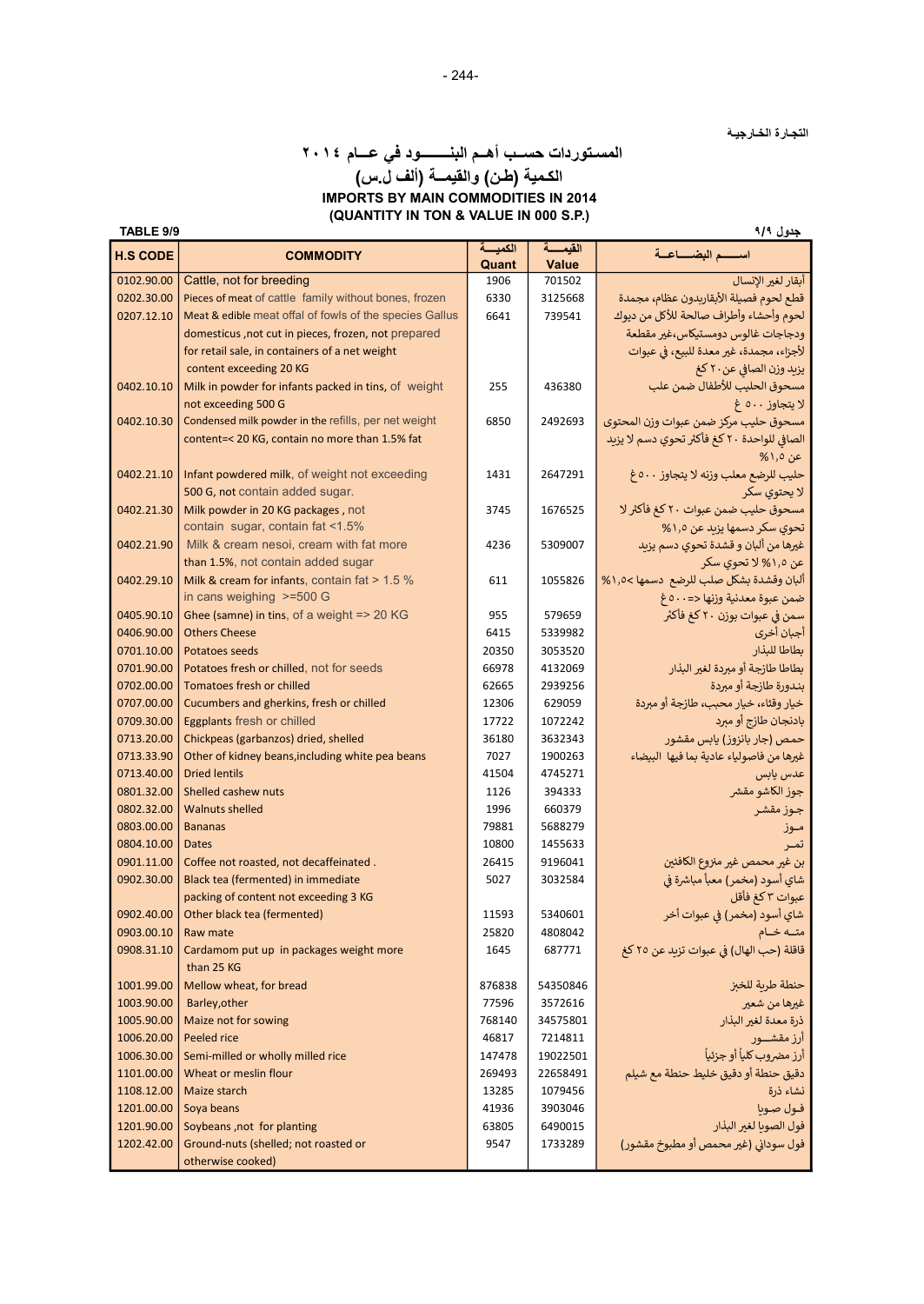التجـارة الخـارجيـة

# المسـتوردات حســب أهــم البنــــــــود في عـــام ٢٠١٤ الكـمية (طـن) والقيمــة (ألف ل.س) IMPORTS BY MAIN COMMODITIES IN 2014 (QUANTITY IN TON & VALUE IN 000 S.P.)

| TABLE 9/9<br>جدول ۹/۹    |                                                         |                 |                      |                                             |  |  |
|--------------------------|---------------------------------------------------------|-----------------|----------------------|---------------------------------------------|--|--|
| <b>H.S CODE</b>          | <b>COMMODITY</b>                                        | الكمبسة         | القيمسة              | اسسه البضساعية                              |  |  |
| 0102.90.00               | Cattle, not for breeding                                | Quant<br>1906   | Value<br>701502      | أبقار لغير الإنسال                          |  |  |
| 0202.30.00               | Pieces of meat of cattle family without bones, frozen   | 6330            | 3125668              | قطع لحوم فصيلة الأبقاريدون عظام، مجمدة      |  |  |
| 0207.12.10               | Meat & edible meat offal of fowls of the species Gallus | 6641            | 739541               | لحوم وأحشاء وأطراف صالحة للأكل من ديوك      |  |  |
|                          | domesticus, not cut in pieces, frozen, not prepared     |                 |                      | ودجاجات غالوس دومستيكاس،غير مقطعة           |  |  |
|                          | for retail sale, in containers of a net weight          |                 |                      | لأجزاء، مجمدة، غير معدة للبيع، في عبوات     |  |  |
|                          | content exceeding 20 KG                                 |                 |                      | يزبد وزن الصافي عن٢٠ كغ                     |  |  |
| 0402.10.10               | Milk in powder for infants packed in tins, of weight    | 255             | 436380               | مسحوق الحليب للأطفال ضمن علب                |  |  |
|                          | not exceeding 500 G                                     |                 |                      | لا يتجاوز ٥٠٠ غ                             |  |  |
| 0402.10.30               | Condensed milk powder in the refills, per net weight    | 6850            | 2492693              | مسحوق حليب مركز ضمن عبوات وزن المحتوى       |  |  |
|                          | content=< 20 KG, contain no more than 1.5% fat          |                 |                      | الصافي للواحدة ٢٠ كغ فأكثر تحوي دسم لا يزيد |  |  |
|                          |                                                         |                 |                      | عن ١٫٥%                                     |  |  |
| 0402.21.10               | Infant powdered milk, of weight not exceeding           | 1431            | 2647291              | حليب للرضع معلب وزنه لا يتجاوز ٥٠٠غ         |  |  |
|                          | 500 G, not contain added sugar.                         |                 |                      | لا يحتوي سكر                                |  |  |
| 0402.21.30               | Milk powder in 20 KG packages, not                      | 3745            | 1676525              | مسحوق حليب ضمن عبوات ٢٠ كغ فأكثر لا         |  |  |
|                          | contain sugar, contain fat <1.5%                        |                 |                      | تحوي سكر دسمها يزيد عن ١,٥%                 |  |  |
| 0402.21.90               | Milk & cream nesoi, cream with fat more                 | 4236            | 5309007              | غيرها من ألبان و قشدة تحوي دسم يزيد         |  |  |
|                          | than 1.5%, not contain added sugar                      |                 |                      | عن ۱٫۵% لا تحوی سکر                         |  |  |
| 0402.29.10               | Milk & cream for infants, contain fat > 1.5 %           | 611             | 1055826              | ألبان وقشدة بشكل صلب للرضع دسمها >١,٥< %    |  |  |
|                          | in cans weighing >=500 G                                |                 |                      | ضمن عبوة معدنية وزنها <=٥٠٠ غ               |  |  |
| 0405.90.10               | Ghee (samne) in tins, of a weight => 20 KG              | 955             | 579659               | سمن في عبوات بوزن ٢٠ كغ فأكثر               |  |  |
| 0406.90.00               | <b>Others Cheese</b>                                    | 6415            | 5339982              | أجبان أخرى                                  |  |  |
| 0701.10.00               | Potatoes seeds                                          | 20350           | 3053520              | بطاطا للبذار                                |  |  |
| 0701.90.00               | Potatoes fresh or chilled, not for seeds                | 66978           | 4132069              | بطاطا طازجة أو مبردة لغير البذار            |  |  |
| 0702.00.00               | Tomatoes fresh or chilled                               | 62665           | 2939256              | بندورة طازجة أو مبردة                       |  |  |
| 0707.00.00               | Cucumbers and gherkins, fresh or chilled                | 12306           | 629059               | خيار وقثاء، خيار محبب، طازجة أو مبردة       |  |  |
| 0709.30.00               | Eggplants fresh or chilled                              | 17722           | 1072242              | بادنجان طازج أو مبرد                        |  |  |
| 0713.20.00               | Chickpeas (garbanzos) dried, shelled                    | 36180           | 3632343              | حمص (جار بانزوز) يابس مقشور                 |  |  |
| 0713.33.90               | Other of kidney beans, including white pea beans        | 7027            | 1900263              | غيرها من فاصولياء عادية بما فيها البيضاء    |  |  |
| 0713.40.00               | <b>Dried lentils</b>                                    | 41504           | 4745271              | عدس يابس                                    |  |  |
| 0801.32.00               | Shelled cashew nuts                                     | 1126            | 394333               | جوز الكاشو مقشر                             |  |  |
| 0802.32.00               | <b>Walnuts shelled</b>                                  | 1996            | 660379               | جوز مقشر                                    |  |  |
| 0803.00.00               | <b>Bananas</b>                                          | 79881           | 5688279              | مـوز                                        |  |  |
| 0804.10.00               | <b>Dates</b>                                            | 10800           | 1455633              | تمـر                                        |  |  |
| 0901.11.00               | Coffee not roasted, not decaffeinated.                  | 26415           | 9196041              | بن غير محمص غير منزوع الكافئين              |  |  |
| 0902.30.00               | Black tea (fermented) in immediate                      | 5027            | 3032584              | شاي أسود (مخمر) معبأ مباشرة في              |  |  |
|                          | packing of content not exceeding 3 KG                   |                 |                      | عبوات ٣ كغ فأقل                             |  |  |
| 0902.40.00               | Other black tea (fermented)                             | 11593           | 5340601              | شاي أسود (مخمر) في عبوات أخر                |  |  |
| 0903.00.10               | Raw mate                                                | 25820           | 4808042              | متــه خــام                                 |  |  |
| 0908.31.10               | Cardamom put up in packages weight more                 | 1645            | 687771               | قاقلة (حب الهال) في عبوات تزيد عن ٢٥ كغ     |  |  |
|                          | than 25 KG                                              |                 |                      |                                             |  |  |
| 1001.99.00               | Mellow wheat, for bread                                 | 876838<br>77596 | 54350846<br>3572616  | حنطة طربة للخبز<br>غيرها من شعير            |  |  |
| 1003.90.00<br>1005.90.00 | Barley, other<br>Maize not for sowing                   | 768140          | 34575801             | ذرة معدة لغير البذار                        |  |  |
|                          |                                                         |                 |                      |                                             |  |  |
| 1006.20.00<br>1006.30.00 | Peeled rice<br>Semi-milled or wholly milled rice        | 46817<br>147478 | 7214811              | أرز مقشـــور<br>أرز مضروب كلياً أو جزئياً   |  |  |
| 1101.00.00               | Wheat or meslin flour                                   | 269493          | 19022501<br>22658491 | دقيق حنطة أو دقيق خليط حنطة مع شيلم         |  |  |
| 1108.12.00               | Maize starch                                            | 13285           | 1079456              | نشاء ذرة                                    |  |  |
| 1201.00.00               | Soya beans                                              | 41936           | 3903046              | فول صويا                                    |  |  |
| 1201.90.00               | Soybeans, not for planting                              | 63805           | 6490015              | فول الصوبا لغير البذار                      |  |  |
| 1202.42.00               | Ground-nuts (shelled; not roasted or                    | 9547            | 1733289              | فول سوداني (غير محمص أو مطبوخ مقشور)        |  |  |
|                          | otherwise cooked)                                       |                 |                      |                                             |  |  |
|                          |                                                         |                 |                      |                                             |  |  |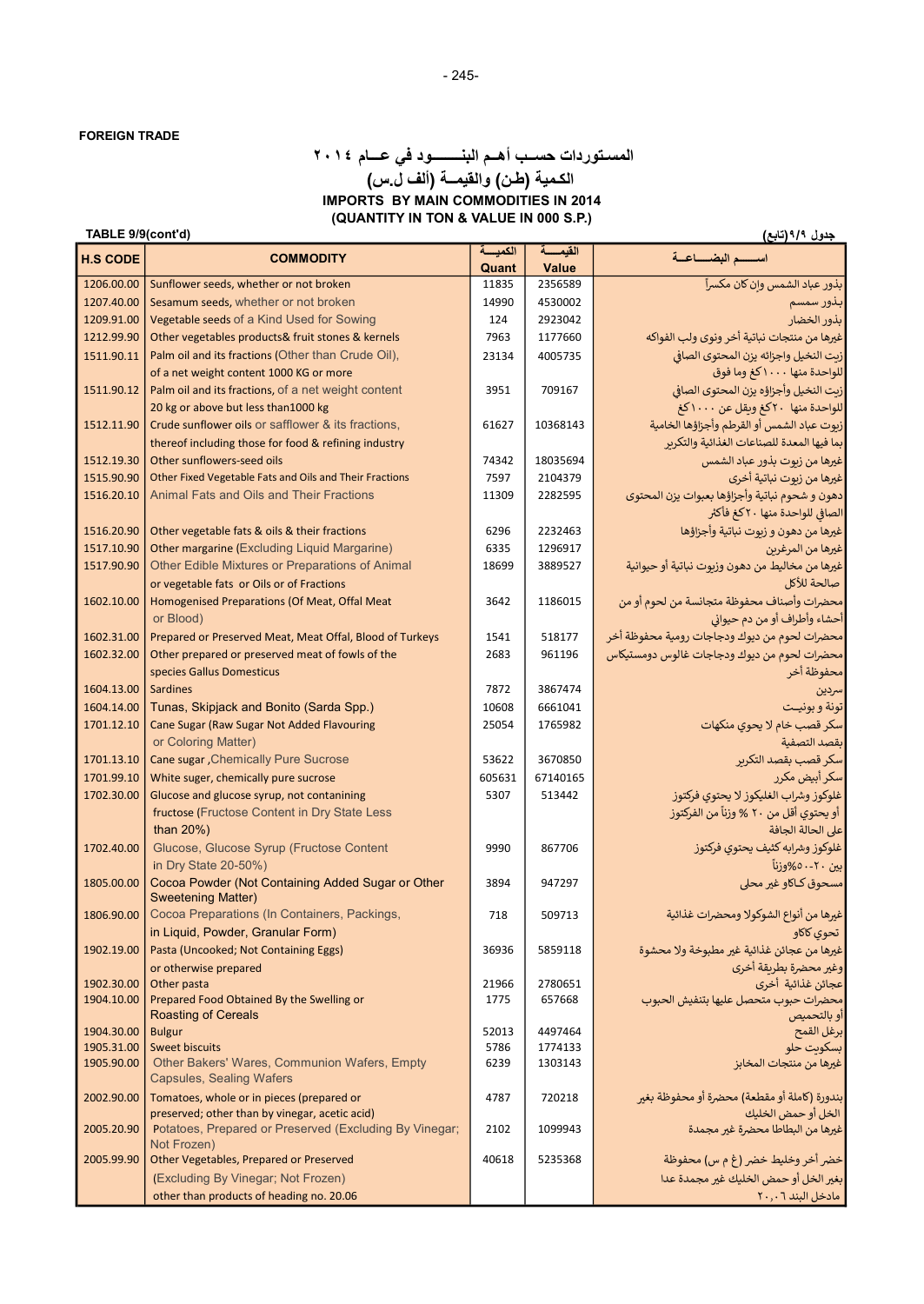## (QUANTITY IN TON & VALUE IN 000 S.P.) المسـتوردات حســب أهــم البنــــــــود في عـــام ٢٠١٤ الكـمية (طـن) والقيمــة (ألف ل.س) IMPORTS BY MAIN COMMODITIES IN 2014

### TABLE 9/9(cont'd)

| TABLE 9/9(cont'd)<br>جدول ۹/۹(تابع) |                                                                                            |                  |                    |                                                                                 |  |
|-------------------------------------|--------------------------------------------------------------------------------------------|------------------|--------------------|---------------------------------------------------------------------------------|--|
| <b>H.S CODE</b>                     | <b>COMMODITY</b>                                                                           | الكمبسة<br>Quant | القبمسة<br>Value   | اسسه البضساعية                                                                  |  |
| 1206.00.00                          | Sunflower seeds, whether or not broken                                                     | 11835            | 2356589            | بذور عباد الشمس وان كان مكسراً                                                  |  |
| 1207.40.00                          | Sesamum seeds, whether or not broken                                                       | 14990            | 4530002            | بذور سمسم                                                                       |  |
| 1209.91.00                          | Vegetable seeds of a Kind Used for Sowing                                                  | 124              | 2923042            | بذور الخضار                                                                     |  |
| 1212.99.90                          | Other vegetables products& fruit stones & kernels                                          | 7963             | 1177660            | غيرها من منتجات نباتية أخر ونوى ولب الفواكه                                     |  |
| 1511.90.11                          | Palm oil and its fractions (Other than Crude Oil),                                         | 23134            | 4005735            | زيت النخيل واجزائه يزن المحتوى الصافي                                           |  |
|                                     | of a net weight content 1000 KG or more                                                    |                  |                    | للواحدة منها ١٠٠٠كغ وما فوق                                                     |  |
| 1511.90.12                          | Palm oil and its fractions, of a net weight content                                        | 3951             | 709167             | زبت النخيل وأجزاؤه يزن المحتوى الصافي                                           |  |
|                                     | 20 kg or above but less than 1000 kg                                                       |                  |                    | للواحدة منها ٢٠كغ وبقل عن ١٠٠٠كغ                                                |  |
| 1512.11.90                          | Crude sunflower oils or safflower & its fractions,                                         | 61627            | 10368143           | زبوت عباد الشمس أو القرطم وأجزاؤها الخامية                                      |  |
|                                     | thereof including those for food & refining industry                                       |                  |                    | بما فيها المعدة للصناعات الغذائية والتكربر                                      |  |
| 1512.19.30                          | Other sunflowers-seed oils                                                                 | 74342            | 18035694           | غيرها من زبوت بذور عباد الشمس                                                   |  |
| 1515.90.90                          | Other Fixed Vegetable Fats and Oils and Their Fractions                                    | 7597             | 2104379            | عيرها من زيوت نباتية أخرى                                                       |  |
| 1516.20.10                          | Animal Fats and Oils and Their Fractions                                                   | 11309            | 2282595            | دهون و شحوم نباتية وأجزاؤها بعبوات يزن المحتوى                                  |  |
|                                     |                                                                                            |                  |                    | الصافي للواحدة منها ٢٠كغ فأكثر                                                  |  |
| 1516.20.90                          | Other vegetable fats & oils & their fractions                                              | 6296             | 2232463            | غيرها من دهون و زيوت نباتية وأجزاؤها                                            |  |
| 1517.10.90                          | Other margarine (Excluding Liquid Margarine)                                               | 6335             | 1296917            | غيرها من المرغرين                                                               |  |
| 1517.90.90                          | Other Edible Mixtures or Preparations of Animal                                            | 18699            | 3889527            | غيرها من مخاليط من دهون وزيوت نباتية أو حيوانية                                 |  |
|                                     | or vegetable fats or Oils or of Fractions                                                  |                  |                    | صالحة للأكل                                                                     |  |
| 1602.10.00                          | Homogenised Preparations (Of Meat, Offal Meat                                              | 3642             | 1186015            | محضرات وأصناف محفوظة متجانسة من لحوم أو من                                      |  |
|                                     | or Blood)                                                                                  |                  |                    | أحشاء وأطراف أو من دم حيواني                                                    |  |
| 1602.31.00                          | Prepared or Preserved Meat, Meat Offal, Blood of Turkeys                                   | 1541             | 518177             | محضرات لحوم من ديوك ودجاجات رومية محفوظة أخر                                    |  |
| 1602.32.00                          | Other prepared or preserved meat of fowls of the                                           | 2683             | 961196             | محضرات لحوم من ديوك ودجاجات غالوس دومستيكاس                                     |  |
|                                     | species Gallus Domesticus                                                                  |                  |                    | محفوظة أخر                                                                      |  |
| 1604.13.00                          | <b>Sardines</b>                                                                            | 7872             | 3867474            | سردين                                                                           |  |
| 1604.14.00                          | Tunas, Skipjack and Bonito (Sarda Spp.)                                                    | 10608            | 6661041            | تونة و بونيـت                                                                   |  |
| 1701.12.10                          | Cane Sugar (Raw Sugar Not Added Flavouring                                                 | 25054            | 1765982            | سکر قصب خام لا یحوی منکهات                                                      |  |
|                                     | or Coloring Matter)                                                                        |                  |                    | ىقصد التصفية                                                                    |  |
| 1701.13.10                          | <b>Cane sugar , Chemically Pure Sucrose</b>                                                | 53622            | 3670850            | سكر قصب بقصد التكرير                                                            |  |
| 1701.99.10<br>1702.30.00            | White suger, chemically pure sucrose                                                       | 605631<br>5307   | 67140165<br>513442 | سکر أبیض مکرر                                                                   |  |
|                                     | Glucose and glucose syrup, not contanining<br>fructose (Fructose Content in Dry State Less |                  |                    | غلوكوز وشراب الغليكوز لا يحتوي فركتوز<br>أو يحتوي أقل من ٢٠ % وزناً من الفركتوز |  |
|                                     | than $20\%$ )                                                                              |                  |                    | على الحالة الجافة                                                               |  |
| 1702.40.00                          | Glucose, Glucose Syrup (Fructose Content                                                   | 9990             | 867706             | غلوكوز وشرابه كثيف يحتوي فركتوز                                                 |  |
|                                     | in Dry State 20-50%)                                                                       |                  |                    | بين ٢٠-٥٠%وزنآ                                                                  |  |
| 1805.00.00                          | Cocoa Powder (Not Containing Added Sugar or Other                                          | 3894             | 947297             | مسحوق كاكاو غير محلى                                                            |  |
|                                     | <b>Sweetening Matter)</b>                                                                  |                  |                    |                                                                                 |  |
| 1806.90.00                          | Cocoa Preparations (In Containers, Packings,                                               | 718              | 509713             | غيرها من أنواع الشوكولا ومحضرات غذائية                                          |  |
|                                     | in Liquid, Powder, Granular Form)                                                          |                  |                    | تحوي كاكاو                                                                      |  |
| 1902.19.00                          | Pasta (Uncooked; Not Containing Eggs)                                                      | 36936            | 5859118            | غيرها من عجائن غذائية غير مطبوخة ولا محشوة                                      |  |
|                                     | or otherwise prepared                                                                      |                  |                    | وغير محضرة بطريقة أخرى                                                          |  |
| 1902.30.00                          | Other pasta                                                                                | 21966            | 2780651            | عجائن غذائية أخرى                                                               |  |
| 1904.10.00                          | Prepared Food Obtained By the Swelling or<br><b>Roasting of Cereals</b>                    | 1775             | 657668             | محضرات حبوب متحصل عليها بتنفيش الحبوب<br> أو بالتحميص                           |  |
| 1904.30.00                          | Bulgur                                                                                     | 52013            | 4497464            | ابرعل القمح                                                                     |  |
| 1905.31.00                          | <b>Sweet biscuits</b>                                                                      | 5786             | 1774133            | بسكوىت حلو                                                                      |  |
| 1905.90.00                          | Other Bakers' Wares, Communion Wafers, Empty                                               | 6239             | 1303143            | غيرها من منتجات المخابز                                                         |  |
|                                     | <b>Capsules, Sealing Wafers</b>                                                            |                  |                    |                                                                                 |  |
| 2002.90.00                          | Tomatoes, whole or in pieces (prepared or                                                  | 4787             | 720218             | بندورة (كاملة أو مقطعة) محضرة أو محفوظة بغير                                    |  |
|                                     | preserved; other than by vinegar, acetic acid)                                             |                  |                    | الخل أو حمض الخليك                                                              |  |
| 2005.20.90                          | Potatoes, Prepared or Preserved (Excluding By Vinegar;<br>Not Frozen)                      | 2102             | 1099943            | عيرها من البطاطا محضرة غير مجمدة                                                |  |
| 2005.99.90                          | Other Vegetables, Prepared or Preserved                                                    | 40618            | 5235368            | خضر أخر وخليط خضر (غ م س) محفوظة                                                |  |
|                                     | (Excluding By Vinegar; Not Frozen)                                                         |                  |                    | بغير الخل أو حمض الخليك غير مجمدة عدا                                           |  |
|                                     | other than products of heading no. 20.06                                                   |                  |                    | مادخل البند ٢٠,٠٦                                                               |  |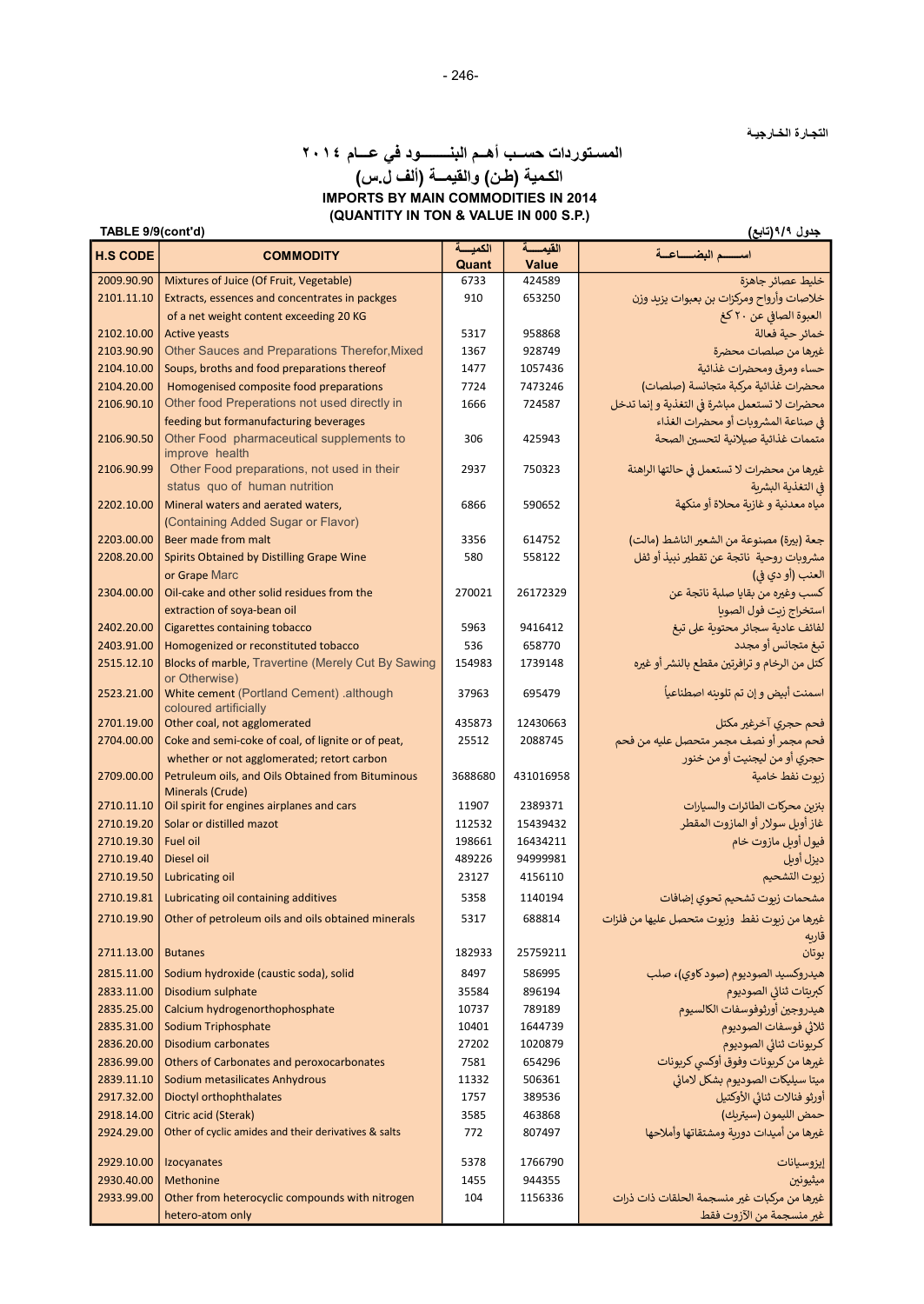التجـارة الخـارجيـة

## (QUANTITY IN TON & VALUE IN 000 S.P.) المسـتوردات حســب أهــم البنــــــــود في عـــام ٢٠١٤ الكـمية (طـن) والقيمــة (ألف ل.س) IMPORTS BY MAIN COMMODITIES IN 2014

|                          | جدول ۹/۹ (تابع)<br>TABLE 9/9(cont'd)                                     |                 |                     |                                                |  |  |
|--------------------------|--------------------------------------------------------------------------|-----------------|---------------------|------------------------------------------------|--|--|
| <b>H.S CODE</b>          | <b>COMMODITY</b>                                                         | الكمبسة         | القيمسة             | اسسه البضساعية                                 |  |  |
| 2009.90.90               | Mixtures of Juice (Of Fruit, Vegetable)                                  | Quant<br>6733   | Value<br>424589     | خليط عصائر جاهزة                               |  |  |
| 2101.11.10               | Extracts, essences and concentrates in packges                           | 910             | 653250              | خلاصات وأرواح ومركزات بن بعبوات يزيد وزن       |  |  |
|                          | of a net weight content exceeding 20 KG                                  |                 |                     | العبوة الصافي عن ٢٠ كغ                         |  |  |
| 2102.10.00               | <b>Active yeasts</b>                                                     | 5317            | 958868              | خمائر حية فعالة                                |  |  |
| 2103.90.90               | Other Sauces and Preparations Therefor, Mixed                            | 1367            | 928749              | غيرها من صلصات محضرة                           |  |  |
| 2104.10.00               | Soups, broths and food preparations thereof                              | 1477            | 1057436             | حساء ومرق ومحضرات غذائية                       |  |  |
| 2104.20.00               | Homogenised composite food preparations                                  | 7724            | 7473246             | محضرات غذائية مركبة متجانسة (صلصات)            |  |  |
| 2106.90.10               | Other food Preperations not used directly in                             | 1666            | 724587              | محضرات لا تستعمل مباشرة في التغذية و إنما تدخل |  |  |
|                          | feeding but formanufacturing beverages                                   |                 |                     | في صناعة المشروبات أو محضرات الغذاء            |  |  |
| 2106.90.50               | Other Food pharmaceutical supplements to                                 | 306             | 425943              | متممات غذائية صيلانية لتحسين الصحة             |  |  |
|                          | improve health                                                           |                 |                     |                                                |  |  |
| 2106.90.99               | Other Food preparations, not used in their                               | 2937            | 750323              | غيرها من محضرات لا تستعمل في حالتها الراهنة    |  |  |
|                          | status quo of human nutrition                                            |                 |                     | في التغذية البشرية                             |  |  |
| 2202.10.00               | Mineral waters and aerated waters,<br>(Containing Added Sugar or Flavor) | 6866            | 590652              | مياه معدنية و غازية محلاة أو منكهة             |  |  |
| 2203.00.00               | Beer made from malt                                                      | 3356            | 614752              | جعة (بيرة) مصنوعة من الشعير الناشط (مالت)      |  |  |
| 2208.20.00               | Spirits Obtained by Distilling Grape Wine                                | 580             | 558122              | مشروبات روحية  ناتجة عن تقطير نبيذ أو ثفل      |  |  |
|                          | or Grape Marc                                                            |                 |                     | العنب (أو دي في)                               |  |  |
| 2304.00.00               | Oil-cake and other solid residues from the                               | 270021          | 26172329            | كسب وغيره من بقايا صلبة ناتجة عن               |  |  |
|                          | extraction of soya-bean oil                                              |                 |                     | استخراج زيت فول الصوبا                         |  |  |
| 2402.20.00               | <b>Cigarettes containing tobacco</b>                                     | 5963            | 9416412             | لفائف عادية سجائر محتوية على تبغ               |  |  |
| 2403.91.00               | Homogenized or reconstituted tobacco                                     | 536             | 658770              | تبغ متجانس أو مجدد                             |  |  |
| 2515.12.10               | Blocks of marble, Travertine (Merely Cut By Sawing                       | 154983          | 1739148             | كتل من الرخام و ترافرتين مقطع بالنشر أو غيره   |  |  |
|                          | or Otherwise)                                                            |                 |                     |                                                |  |  |
| 2523.21.00               | White cement (Portland Cement) .although                                 | 37963           | 695479              | اسمنت أبيض وإن تم تلوينه اصطناعياً             |  |  |
| 2701.19.00               | coloured artificially<br>Other coal, not agglomerated                    | 435873          | 12430663            | فحم حجري آخرغير مكتل                           |  |  |
| 2704.00.00               | Coke and semi-coke of coal, of lignite or of peat,                       | 25512           | 2088745             | فحم مجمر أو نصف مجمر متحصل عليه من فحم         |  |  |
|                          | whether or not agglomerated; retort carbon                               |                 |                     | حجري أو من ليجنيت أو من خنور                   |  |  |
| 2709.00.00               | Petruleum oils, and Oils Obtained from Bituminous                        | 3688680         | 431016958           | زبوت نفط خامية                                 |  |  |
|                          | Minerals (Crude)                                                         |                 |                     |                                                |  |  |
| 2710.11.10               | Oil spirit for engines airplanes and cars                                | 11907           | 2389371             | بنزين محركات الطائرات والسيارات                |  |  |
| 2710.19.20               | Solar or distilled mazot                                                 | 112532          | 15439432            | غاز أويل سولار أو المازوت المقطر               |  |  |
| 2710.19.30               | <b>Fuel oil</b>                                                          | 198661          | 16434211            | فيول أوبل مازوت خام                            |  |  |
| 2710.19.40<br>2710.19.50 | Diesel oil                                                               | 489226<br>23127 | 94999981<br>4156110 | ديزل أويل                                      |  |  |
|                          | Lubricating oil                                                          |                 |                     | زبوت التشحيم                                   |  |  |
| 2710.19.81               | Lubricating oil containing additives                                     | 5358            | 1140194             | مشحمات زبوت تشحيم تحوي إضافات                  |  |  |
| 2710.19.90               | Other of petroleum oils and oils obtained minerals                       | 5317            | 688814              | غيرها من زيوت نفط وزيوت متحصل عليها من فلزات   |  |  |
| 2711.13.00               | <b>Butanes</b>                                                           | 182933          | 25759211            | قاربه<br>بوتان                                 |  |  |
| 2815.11.00               | Sodium hydroxide (caustic soda), solid                                   | 8497            | 586995              | هيدروكسيد الصوديوم (صود كاوي)، صلب             |  |  |
| 2833.11.00               | Disodium sulphate                                                        | 35584           | 896194              | كبريتات ثنائي الصوديوم                         |  |  |
| 2835.25.00               | Calcium hydrogenorthophosphate                                           | 10737           | 789189              | هيدروجين أورثوفوسفات الكالسيوم                 |  |  |
| 2835.31.00               | Sodium Triphosphate                                                      | 10401           | 1644739             | ثلاثي فوسفات الصوديوم                          |  |  |
| 2836.20.00               | Disodium carbonates                                                      | 27202           | 1020879             | كربونات ثنائى الصوديوم                         |  |  |
| 2836.99.00               | Others of Carbonates and peroxocarbonates                                | 7581            | 654296              | غيرها من كربونات وفوق أوكسي كربونات            |  |  |
| 2839.11.10               | Sodium metasilicates Anhydrous                                           | 11332           | 506361              | ميتا سيليكات الصوديوم بشكل لامائي              |  |  |
| 2917.32.00               | Dioctyl orthophthalates                                                  | 1757            | 389536              | أورثو فنالات ثنائى الأوكتيل                    |  |  |
| 2918.14.00               | Citric acid (Sterak)                                                     | 3585            | 463868              | حمض الليمون (سيتريك)                           |  |  |
| 2924.29.00               | Other of cyclic amides and their derivatives & salts                     | 772             | 807497              | غيرها من أميدات دوربة ومشتقاتها وأملاحها       |  |  |
| 2929.10.00               | Izocyanates                                                              | 5378            | 1766790             | إيزوسيانات                                     |  |  |
| 2930.40.00               | Methonine                                                                | 1455            | 944355              | ميثيونين                                       |  |  |
| 2933.99.00               | Other from heterocyclic compounds with nitrogen                          | 104             | 1156336             | غيرها من مركبات غير منسجمة الحلقات ذات ذرات    |  |  |
|                          | hetero-atom only                                                         |                 |                     | غير منسجمة من الآزوت فقط                       |  |  |
|                          |                                                                          |                 |                     |                                                |  |  |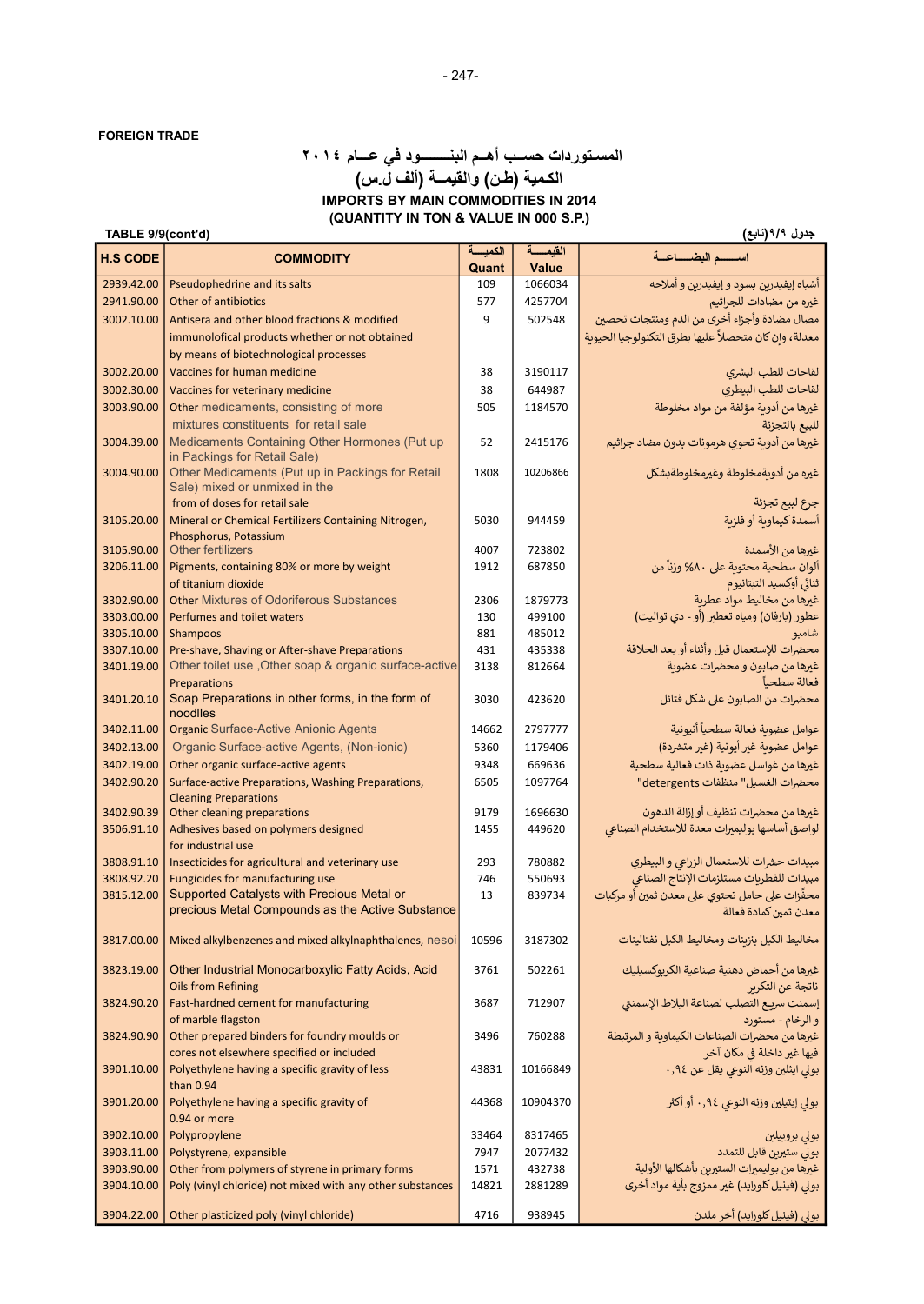### (QUANTITY IN TON & VALUE IN 000 S.P.) جدول ٩/٩(تابع) (تابع المحادث المحادث المحادث المحادث المحادث المحادث المحادث المحادث المحادث المحادث المحادث ا<br>جدول ٩/٩(تابع) المسـتوردات حســب أهــم البنــــــــود في عـــام ٢٠١٤ الكـمية (طـن) والقيمــة (ألف ل.س) IMPORTS BY MAIN COMMODITIES IN 2014

| الكميسة<br>القبمسة<br>اسسسم البضساعية<br><b>H.S CODE</b><br><b>COMMODITY</b><br>Quant<br>Value<br>أشباه إيفيدرين بسود وإيفيدرين و أملاحه<br>2939.42.00<br>Pseudophedrine and its salts<br>1066034<br>109<br>2941.90.00<br>Other of antibiotics<br>4257704<br>غيره من مضادات للجراثيم<br>577<br>مصال مضادة وأجزاء أخرى من الدم ومنتجات تحصين<br>3002.10.00<br>Antisera and other blood fractions & modified<br>9<br>502548<br>معدلة، وإن كان متحصلاً عليها بطرق التكنولوجيا الحيوية<br>immunolofical products whether or not obtained<br>by means of biotechnological processes<br>لقاحات للطب البشرى<br>3002.20.00<br>Vaccines for human medicine<br>38<br>3190117<br>3002.30.00<br>لقاحات للطب البيطري<br>Vaccines for veterinary medicine<br>38<br>644987<br>غيرها من أدوية مؤلفة من مواد مخلوطة<br>3003.90.00<br>Other medicaments, consisting of more<br>505<br>1184570<br>mixtures constituents for retail sale<br>للبيع بالتجزئة<br>Medicaments Containing Other Hormones (Put up<br>غيرها من أدوية تحوي هرمونات بدون مضاد جراثيم<br>52<br>3004.39.00<br>2415176<br>in Packings for Retail Sale)<br>غيره من أدويةمخلوطة وغيرمخلوطةبشكل<br>Other Medicaments (Put up in Packings for Retail<br>10206866<br>3004.90.00<br>1808<br>Sale) mixed or unmixed in the<br>from of doses for retail sale<br>جرع لبيع تجزئة<br>أسمدة كيماونة أو فلزنة<br>Mineral or Chemical Fertilizers Containing Nitrogen,<br>3105.20.00<br>5030<br>944459<br>Phosphorus, Potassium<br><b>Other fertilizers</b><br>4007<br>غيرها من الأسمدة<br>3105.90.00<br>723802<br>ألوان سطحية محتوية على ٨٠% وزناً من<br>Pigments, containing 80% or more by weight<br>3206.11.00<br>687850<br>1912<br>of titanium dioxide<br>ثنائي أوكسيد التيتانيوم<br>غيرها من مخاليط مواد عطرية<br><b>Other Mixtures of Odoriferous Substances</b><br>3302.90.00<br>2306<br>1879773<br>3303.00.00<br>Perfumes and toilet waters<br>499100<br>عطور (بارفان) ومياه تعطير (أو - دي تواليت)<br>130<br>3305.10.00<br>881<br>Shampoos<br>485012<br>شامبو<br>محضرات للإستعمال قبل وأثناء أو بعد الحلاقة<br>3307.10.00<br>Pre-shave, Shaving or After-shave Preparations<br>431<br>435338<br>Other toilet use , Other soap & organic surface-active<br>3401.19.00<br>غيرها من صابون و محضرات عضوية<br>3138<br>812664<br>Preparations<br>فعالة سطحيآ<br>Soap Preparations in other forms, in the form of<br>محضرات من الصابون على شكل فتائل<br>3401.20.10<br>3030<br>423620<br>noodlles<br><b>Organic Surface-Active Anionic Agents</b><br>عوامل عضوية فعالة سطحياً أنيونية<br>2797777<br>3402.11.00<br>14662<br>Organic Surface-active Agents, (Non-ionic)<br>عوامل عضوية غير أيونية (غير متشردة)<br>3402.13.00<br>5360<br>1179406<br>3402.19.00<br>Other organic surface-active agents<br>9348<br>غيرها من غواسل عضوية ذات فعالية سطحية<br>669636<br>محضرات الغسيل" منظفات detergents"<br>3402.90.20<br>Surface-active Preparations, Washing Preparations,<br>6505<br>1097764<br><b>Cleaning Preparations</b><br>غيرها من محضرات تنظيف أو إزالة الدهون<br>3402.90.39<br>Other cleaning preparations<br>9179<br>1696630<br>لواصق أساسها بوليميرات معدة للاستخدام الصناعى<br>Adhesives based on polymers designed<br>3506.91.10<br>1455<br>449620<br>for industrial use<br>Insecticides for agricultural and veterinary use<br>مبيدات حشرات للاستعمال الزراعي و البيطري<br>3808.91.10<br>293<br>780882<br>مبيدات للفطريات مستلزمات الإنتاج الصناعي<br>Fungicides for manufacturing use<br>3808.92.20<br>746<br>550693<br>Supported Catalysts with Precious Metal or<br>محفِّزات على حامل تحتوي على معدن ثمين أو مركبات<br>3815.12.00<br>13<br>839734<br>precious Metal Compounds as the Active Substance<br>معدن ثمين كمادة فعالة<br>مخاليط الكيل بنزينات ومخاليط الكيل نفتالينات<br>Mixed alkylbenzenes and mixed alkylnaphthalenes, nesoi<br>3187302<br>3817.00.00<br>10596<br>غيرها من أحماض دهنية صناعية الكربوكسيليك<br>Other Industrial Monocarboxylic Fatty Acids, Acid<br>3823.19.00<br>3761<br>502261<br><b>Oils from Refining</b><br>ناتجة عن التكرير<br>إسمنت سريع التصلب لصناعة البلاط الإسمنتي<br>Fast-hardned cement for manufacturing<br>3824.90.20<br>3687<br>712907<br>of marble flagston<br>و الرخام - مستورد<br>غيرها من محضرات الصناعات الكيماوية و المرتبطة<br>3824.90.90<br>Other prepared binders for foundry moulds or<br>3496<br>760288<br>فيها غير داخلة في مكان آخر<br>cores not elsewhere specified or included<br>بولي ايثلين وزنه النوعي يقل عن ٩٤,٠<br>Polyethylene having a specific gravity of less<br>3901.10.00<br>43831<br>10166849<br>than 0.94<br>بولي إيتيلين وزنه النوعي ٩٤,٠ أو أكثر<br>Polyethylene having a specific gravity of<br>3901.20.00<br>44368<br>10904370<br>0.94 or more<br>3902.10.00<br>Polypropylene<br>33464<br>8317465<br>بولى بروبيلين<br>بولى ستيرين قابل للتمدد<br>3903.11.00<br>Polystyrene, expansible<br>7947<br>2077432<br>غيرها من بوليميرات الستيرين بأشكالها الأولية<br>Other from polymers of styrene in primary forms<br>3903.90.00<br>1571<br>432738<br>بولي (فينيل كلورايد) غير ممزوج بأية مواد أخرى<br>Poly (vinyl chloride) not mixed with any other substances<br>3904.10.00<br>14821<br>2881289<br>بولي (فينيل كلورايد) أخر ملدن<br>3904.22.00<br>Other plasticized poly (vinyl chloride)<br>4716<br>938945 | $\cdots$ |  | $\sim$ $\sim$ $\sim$ $\sim$ |
|---------------------------------------------------------------------------------------------------------------------------------------------------------------------------------------------------------------------------------------------------------------------------------------------------------------------------------------------------------------------------------------------------------------------------------------------------------------------------------------------------------------------------------------------------------------------------------------------------------------------------------------------------------------------------------------------------------------------------------------------------------------------------------------------------------------------------------------------------------------------------------------------------------------------------------------------------------------------------------------------------------------------------------------------------------------------------------------------------------------------------------------------------------------------------------------------------------------------------------------------------------------------------------------------------------------------------------------------------------------------------------------------------------------------------------------------------------------------------------------------------------------------------------------------------------------------------------------------------------------------------------------------------------------------------------------------------------------------------------------------------------------------------------------------------------------------------------------------------------------------------------------------------------------------------------------------------------------------------------------------------------------------------------------------------------------------------------------------------------------------------------------------------------------------------------------------------------------------------------------------------------------------------------------------------------------------------------------------------------------------------------------------------------------------------------------------------------------------------------------------------------------------------------------------------------------------------------------------------------------------------------------------------------------------------------------------------------------------------------------------------------------------------------------------------------------------------------------------------------------------------------------------------------------------------------------------------------------------------------------------------------------------------------------------------------------------------------------------------------------------------------------------------------------------------------------------------------------------------------------------------------------------------------------------------------------------------------------------------------------------------------------------------------------------------------------------------------------------------------------------------------------------------------------------------------------------------------------------------------------------------------------------------------------------------------------------------------------------------------------------------------------------------------------------------------------------------------------------------------------------------------------------------------------------------------------------------------------------------------------------------------------------------------------------------------------------------------------------------------------------------------------------------------------------------------------------------------------------------------------------------------------------------------------------------------------------------------------------------------------------------------------------------------------------------------------------------------------------------------------------------------------------------------------------------------------------------------------------------------------------------------------------------------------------------------------------------------------------------------------------------------------------------------------------------------------------------------------------------------------------------------------------------------------------------------------------------------------------------------------------------------------------------------------------------------------------------------------------------------------------------------------------------------------------------------------------------------------------------------------|----------|--|-----------------------------|
|                                                                                                                                                                                                                                                                                                                                                                                                                                                                                                                                                                                                                                                                                                                                                                                                                                                                                                                                                                                                                                                                                                                                                                                                                                                                                                                                                                                                                                                                                                                                                                                                                                                                                                                                                                                                                                                                                                                                                                                                                                                                                                                                                                                                                                                                                                                                                                                                                                                                                                                                                                                                                                                                                                                                                                                                                                                                                                                                                                                                                                                                                                                                                                                                                                                                                                                                                                                                                                                                                                                                                                                                                                                                                                                                                                                                                                                                                                                                                                                                                                                                                                                                                                                                                                                                                                                                                                                                                                                                                                                                                                                                                                                                                                                                                                                                                                                                                                                                                                                                                                                                                                                                                                                                                                       |          |  |                             |
|                                                                                                                                                                                                                                                                                                                                                                                                                                                                                                                                                                                                                                                                                                                                                                                                                                                                                                                                                                                                                                                                                                                                                                                                                                                                                                                                                                                                                                                                                                                                                                                                                                                                                                                                                                                                                                                                                                                                                                                                                                                                                                                                                                                                                                                                                                                                                                                                                                                                                                                                                                                                                                                                                                                                                                                                                                                                                                                                                                                                                                                                                                                                                                                                                                                                                                                                                                                                                                                                                                                                                                                                                                                                                                                                                                                                                                                                                                                                                                                                                                                                                                                                                                                                                                                                                                                                                                                                                                                                                                                                                                                                                                                                                                                                                                                                                                                                                                                                                                                                                                                                                                                                                                                                                                       |          |  |                             |
|                                                                                                                                                                                                                                                                                                                                                                                                                                                                                                                                                                                                                                                                                                                                                                                                                                                                                                                                                                                                                                                                                                                                                                                                                                                                                                                                                                                                                                                                                                                                                                                                                                                                                                                                                                                                                                                                                                                                                                                                                                                                                                                                                                                                                                                                                                                                                                                                                                                                                                                                                                                                                                                                                                                                                                                                                                                                                                                                                                                                                                                                                                                                                                                                                                                                                                                                                                                                                                                                                                                                                                                                                                                                                                                                                                                                                                                                                                                                                                                                                                                                                                                                                                                                                                                                                                                                                                                                                                                                                                                                                                                                                                                                                                                                                                                                                                                                                                                                                                                                                                                                                                                                                                                                                                       |          |  |                             |
|                                                                                                                                                                                                                                                                                                                                                                                                                                                                                                                                                                                                                                                                                                                                                                                                                                                                                                                                                                                                                                                                                                                                                                                                                                                                                                                                                                                                                                                                                                                                                                                                                                                                                                                                                                                                                                                                                                                                                                                                                                                                                                                                                                                                                                                                                                                                                                                                                                                                                                                                                                                                                                                                                                                                                                                                                                                                                                                                                                                                                                                                                                                                                                                                                                                                                                                                                                                                                                                                                                                                                                                                                                                                                                                                                                                                                                                                                                                                                                                                                                                                                                                                                                                                                                                                                                                                                                                                                                                                                                                                                                                                                                                                                                                                                                                                                                                                                                                                                                                                                                                                                                                                                                                                                                       |          |  |                             |
|                                                                                                                                                                                                                                                                                                                                                                                                                                                                                                                                                                                                                                                                                                                                                                                                                                                                                                                                                                                                                                                                                                                                                                                                                                                                                                                                                                                                                                                                                                                                                                                                                                                                                                                                                                                                                                                                                                                                                                                                                                                                                                                                                                                                                                                                                                                                                                                                                                                                                                                                                                                                                                                                                                                                                                                                                                                                                                                                                                                                                                                                                                                                                                                                                                                                                                                                                                                                                                                                                                                                                                                                                                                                                                                                                                                                                                                                                                                                                                                                                                                                                                                                                                                                                                                                                                                                                                                                                                                                                                                                                                                                                                                                                                                                                                                                                                                                                                                                                                                                                                                                                                                                                                                                                                       |          |  |                             |
|                                                                                                                                                                                                                                                                                                                                                                                                                                                                                                                                                                                                                                                                                                                                                                                                                                                                                                                                                                                                                                                                                                                                                                                                                                                                                                                                                                                                                                                                                                                                                                                                                                                                                                                                                                                                                                                                                                                                                                                                                                                                                                                                                                                                                                                                                                                                                                                                                                                                                                                                                                                                                                                                                                                                                                                                                                                                                                                                                                                                                                                                                                                                                                                                                                                                                                                                                                                                                                                                                                                                                                                                                                                                                                                                                                                                                                                                                                                                                                                                                                                                                                                                                                                                                                                                                                                                                                                                                                                                                                                                                                                                                                                                                                                                                                                                                                                                                                                                                                                                                                                                                                                                                                                                                                       |          |  |                             |
|                                                                                                                                                                                                                                                                                                                                                                                                                                                                                                                                                                                                                                                                                                                                                                                                                                                                                                                                                                                                                                                                                                                                                                                                                                                                                                                                                                                                                                                                                                                                                                                                                                                                                                                                                                                                                                                                                                                                                                                                                                                                                                                                                                                                                                                                                                                                                                                                                                                                                                                                                                                                                                                                                                                                                                                                                                                                                                                                                                                                                                                                                                                                                                                                                                                                                                                                                                                                                                                                                                                                                                                                                                                                                                                                                                                                                                                                                                                                                                                                                                                                                                                                                                                                                                                                                                                                                                                                                                                                                                                                                                                                                                                                                                                                                                                                                                                                                                                                                                                                                                                                                                                                                                                                                                       |          |  |                             |
|                                                                                                                                                                                                                                                                                                                                                                                                                                                                                                                                                                                                                                                                                                                                                                                                                                                                                                                                                                                                                                                                                                                                                                                                                                                                                                                                                                                                                                                                                                                                                                                                                                                                                                                                                                                                                                                                                                                                                                                                                                                                                                                                                                                                                                                                                                                                                                                                                                                                                                                                                                                                                                                                                                                                                                                                                                                                                                                                                                                                                                                                                                                                                                                                                                                                                                                                                                                                                                                                                                                                                                                                                                                                                                                                                                                                                                                                                                                                                                                                                                                                                                                                                                                                                                                                                                                                                                                                                                                                                                                                                                                                                                                                                                                                                                                                                                                                                                                                                                                                                                                                                                                                                                                                                                       |          |  |                             |
|                                                                                                                                                                                                                                                                                                                                                                                                                                                                                                                                                                                                                                                                                                                                                                                                                                                                                                                                                                                                                                                                                                                                                                                                                                                                                                                                                                                                                                                                                                                                                                                                                                                                                                                                                                                                                                                                                                                                                                                                                                                                                                                                                                                                                                                                                                                                                                                                                                                                                                                                                                                                                                                                                                                                                                                                                                                                                                                                                                                                                                                                                                                                                                                                                                                                                                                                                                                                                                                                                                                                                                                                                                                                                                                                                                                                                                                                                                                                                                                                                                                                                                                                                                                                                                                                                                                                                                                                                                                                                                                                                                                                                                                                                                                                                                                                                                                                                                                                                                                                                                                                                                                                                                                                                                       |          |  |                             |
|                                                                                                                                                                                                                                                                                                                                                                                                                                                                                                                                                                                                                                                                                                                                                                                                                                                                                                                                                                                                                                                                                                                                                                                                                                                                                                                                                                                                                                                                                                                                                                                                                                                                                                                                                                                                                                                                                                                                                                                                                                                                                                                                                                                                                                                                                                                                                                                                                                                                                                                                                                                                                                                                                                                                                                                                                                                                                                                                                                                                                                                                                                                                                                                                                                                                                                                                                                                                                                                                                                                                                                                                                                                                                                                                                                                                                                                                                                                                                                                                                                                                                                                                                                                                                                                                                                                                                                                                                                                                                                                                                                                                                                                                                                                                                                                                                                                                                                                                                                                                                                                                                                                                                                                                                                       |          |  |                             |
|                                                                                                                                                                                                                                                                                                                                                                                                                                                                                                                                                                                                                                                                                                                                                                                                                                                                                                                                                                                                                                                                                                                                                                                                                                                                                                                                                                                                                                                                                                                                                                                                                                                                                                                                                                                                                                                                                                                                                                                                                                                                                                                                                                                                                                                                                                                                                                                                                                                                                                                                                                                                                                                                                                                                                                                                                                                                                                                                                                                                                                                                                                                                                                                                                                                                                                                                                                                                                                                                                                                                                                                                                                                                                                                                                                                                                                                                                                                                                                                                                                                                                                                                                                                                                                                                                                                                                                                                                                                                                                                                                                                                                                                                                                                                                                                                                                                                                                                                                                                                                                                                                                                                                                                                                                       |          |  |                             |
|                                                                                                                                                                                                                                                                                                                                                                                                                                                                                                                                                                                                                                                                                                                                                                                                                                                                                                                                                                                                                                                                                                                                                                                                                                                                                                                                                                                                                                                                                                                                                                                                                                                                                                                                                                                                                                                                                                                                                                                                                                                                                                                                                                                                                                                                                                                                                                                                                                                                                                                                                                                                                                                                                                                                                                                                                                                                                                                                                                                                                                                                                                                                                                                                                                                                                                                                                                                                                                                                                                                                                                                                                                                                                                                                                                                                                                                                                                                                                                                                                                                                                                                                                                                                                                                                                                                                                                                                                                                                                                                                                                                                                                                                                                                                                                                                                                                                                                                                                                                                                                                                                                                                                                                                                                       |          |  |                             |
|                                                                                                                                                                                                                                                                                                                                                                                                                                                                                                                                                                                                                                                                                                                                                                                                                                                                                                                                                                                                                                                                                                                                                                                                                                                                                                                                                                                                                                                                                                                                                                                                                                                                                                                                                                                                                                                                                                                                                                                                                                                                                                                                                                                                                                                                                                                                                                                                                                                                                                                                                                                                                                                                                                                                                                                                                                                                                                                                                                                                                                                                                                                                                                                                                                                                                                                                                                                                                                                                                                                                                                                                                                                                                                                                                                                                                                                                                                                                                                                                                                                                                                                                                                                                                                                                                                                                                                                                                                                                                                                                                                                                                                                                                                                                                                                                                                                                                                                                                                                                                                                                                                                                                                                                                                       |          |  |                             |
|                                                                                                                                                                                                                                                                                                                                                                                                                                                                                                                                                                                                                                                                                                                                                                                                                                                                                                                                                                                                                                                                                                                                                                                                                                                                                                                                                                                                                                                                                                                                                                                                                                                                                                                                                                                                                                                                                                                                                                                                                                                                                                                                                                                                                                                                                                                                                                                                                                                                                                                                                                                                                                                                                                                                                                                                                                                                                                                                                                                                                                                                                                                                                                                                                                                                                                                                                                                                                                                                                                                                                                                                                                                                                                                                                                                                                                                                                                                                                                                                                                                                                                                                                                                                                                                                                                                                                                                                                                                                                                                                                                                                                                                                                                                                                                                                                                                                                                                                                                                                                                                                                                                                                                                                                                       |          |  |                             |
|                                                                                                                                                                                                                                                                                                                                                                                                                                                                                                                                                                                                                                                                                                                                                                                                                                                                                                                                                                                                                                                                                                                                                                                                                                                                                                                                                                                                                                                                                                                                                                                                                                                                                                                                                                                                                                                                                                                                                                                                                                                                                                                                                                                                                                                                                                                                                                                                                                                                                                                                                                                                                                                                                                                                                                                                                                                                                                                                                                                                                                                                                                                                                                                                                                                                                                                                                                                                                                                                                                                                                                                                                                                                                                                                                                                                                                                                                                                                                                                                                                                                                                                                                                                                                                                                                                                                                                                                                                                                                                                                                                                                                                                                                                                                                                                                                                                                                                                                                                                                                                                                                                                                                                                                                                       |          |  |                             |
|                                                                                                                                                                                                                                                                                                                                                                                                                                                                                                                                                                                                                                                                                                                                                                                                                                                                                                                                                                                                                                                                                                                                                                                                                                                                                                                                                                                                                                                                                                                                                                                                                                                                                                                                                                                                                                                                                                                                                                                                                                                                                                                                                                                                                                                                                                                                                                                                                                                                                                                                                                                                                                                                                                                                                                                                                                                                                                                                                                                                                                                                                                                                                                                                                                                                                                                                                                                                                                                                                                                                                                                                                                                                                                                                                                                                                                                                                                                                                                                                                                                                                                                                                                                                                                                                                                                                                                                                                                                                                                                                                                                                                                                                                                                                                                                                                                                                                                                                                                                                                                                                                                                                                                                                                                       |          |  |                             |
|                                                                                                                                                                                                                                                                                                                                                                                                                                                                                                                                                                                                                                                                                                                                                                                                                                                                                                                                                                                                                                                                                                                                                                                                                                                                                                                                                                                                                                                                                                                                                                                                                                                                                                                                                                                                                                                                                                                                                                                                                                                                                                                                                                                                                                                                                                                                                                                                                                                                                                                                                                                                                                                                                                                                                                                                                                                                                                                                                                                                                                                                                                                                                                                                                                                                                                                                                                                                                                                                                                                                                                                                                                                                                                                                                                                                                                                                                                                                                                                                                                                                                                                                                                                                                                                                                                                                                                                                                                                                                                                                                                                                                                                                                                                                                                                                                                                                                                                                                                                                                                                                                                                                                                                                                                       |          |  |                             |
|                                                                                                                                                                                                                                                                                                                                                                                                                                                                                                                                                                                                                                                                                                                                                                                                                                                                                                                                                                                                                                                                                                                                                                                                                                                                                                                                                                                                                                                                                                                                                                                                                                                                                                                                                                                                                                                                                                                                                                                                                                                                                                                                                                                                                                                                                                                                                                                                                                                                                                                                                                                                                                                                                                                                                                                                                                                                                                                                                                                                                                                                                                                                                                                                                                                                                                                                                                                                                                                                                                                                                                                                                                                                                                                                                                                                                                                                                                                                                                                                                                                                                                                                                                                                                                                                                                                                                                                                                                                                                                                                                                                                                                                                                                                                                                                                                                                                                                                                                                                                                                                                                                                                                                                                                                       |          |  |                             |
|                                                                                                                                                                                                                                                                                                                                                                                                                                                                                                                                                                                                                                                                                                                                                                                                                                                                                                                                                                                                                                                                                                                                                                                                                                                                                                                                                                                                                                                                                                                                                                                                                                                                                                                                                                                                                                                                                                                                                                                                                                                                                                                                                                                                                                                                                                                                                                                                                                                                                                                                                                                                                                                                                                                                                                                                                                                                                                                                                                                                                                                                                                                                                                                                                                                                                                                                                                                                                                                                                                                                                                                                                                                                                                                                                                                                                                                                                                                                                                                                                                                                                                                                                                                                                                                                                                                                                                                                                                                                                                                                                                                                                                                                                                                                                                                                                                                                                                                                                                                                                                                                                                                                                                                                                                       |          |  |                             |
|                                                                                                                                                                                                                                                                                                                                                                                                                                                                                                                                                                                                                                                                                                                                                                                                                                                                                                                                                                                                                                                                                                                                                                                                                                                                                                                                                                                                                                                                                                                                                                                                                                                                                                                                                                                                                                                                                                                                                                                                                                                                                                                                                                                                                                                                                                                                                                                                                                                                                                                                                                                                                                                                                                                                                                                                                                                                                                                                                                                                                                                                                                                                                                                                                                                                                                                                                                                                                                                                                                                                                                                                                                                                                                                                                                                                                                                                                                                                                                                                                                                                                                                                                                                                                                                                                                                                                                                                                                                                                                                                                                                                                                                                                                                                                                                                                                                                                                                                                                                                                                                                                                                                                                                                                                       |          |  |                             |
|                                                                                                                                                                                                                                                                                                                                                                                                                                                                                                                                                                                                                                                                                                                                                                                                                                                                                                                                                                                                                                                                                                                                                                                                                                                                                                                                                                                                                                                                                                                                                                                                                                                                                                                                                                                                                                                                                                                                                                                                                                                                                                                                                                                                                                                                                                                                                                                                                                                                                                                                                                                                                                                                                                                                                                                                                                                                                                                                                                                                                                                                                                                                                                                                                                                                                                                                                                                                                                                                                                                                                                                                                                                                                                                                                                                                                                                                                                                                                                                                                                                                                                                                                                                                                                                                                                                                                                                                                                                                                                                                                                                                                                                                                                                                                                                                                                                                                                                                                                                                                                                                                                                                                                                                                                       |          |  |                             |
|                                                                                                                                                                                                                                                                                                                                                                                                                                                                                                                                                                                                                                                                                                                                                                                                                                                                                                                                                                                                                                                                                                                                                                                                                                                                                                                                                                                                                                                                                                                                                                                                                                                                                                                                                                                                                                                                                                                                                                                                                                                                                                                                                                                                                                                                                                                                                                                                                                                                                                                                                                                                                                                                                                                                                                                                                                                                                                                                                                                                                                                                                                                                                                                                                                                                                                                                                                                                                                                                                                                                                                                                                                                                                                                                                                                                                                                                                                                                                                                                                                                                                                                                                                                                                                                                                                                                                                                                                                                                                                                                                                                                                                                                                                                                                                                                                                                                                                                                                                                                                                                                                                                                                                                                                                       |          |  |                             |
|                                                                                                                                                                                                                                                                                                                                                                                                                                                                                                                                                                                                                                                                                                                                                                                                                                                                                                                                                                                                                                                                                                                                                                                                                                                                                                                                                                                                                                                                                                                                                                                                                                                                                                                                                                                                                                                                                                                                                                                                                                                                                                                                                                                                                                                                                                                                                                                                                                                                                                                                                                                                                                                                                                                                                                                                                                                                                                                                                                                                                                                                                                                                                                                                                                                                                                                                                                                                                                                                                                                                                                                                                                                                                                                                                                                                                                                                                                                                                                                                                                                                                                                                                                                                                                                                                                                                                                                                                                                                                                                                                                                                                                                                                                                                                                                                                                                                                                                                                                                                                                                                                                                                                                                                                                       |          |  |                             |
|                                                                                                                                                                                                                                                                                                                                                                                                                                                                                                                                                                                                                                                                                                                                                                                                                                                                                                                                                                                                                                                                                                                                                                                                                                                                                                                                                                                                                                                                                                                                                                                                                                                                                                                                                                                                                                                                                                                                                                                                                                                                                                                                                                                                                                                                                                                                                                                                                                                                                                                                                                                                                                                                                                                                                                                                                                                                                                                                                                                                                                                                                                                                                                                                                                                                                                                                                                                                                                                                                                                                                                                                                                                                                                                                                                                                                                                                                                                                                                                                                                                                                                                                                                                                                                                                                                                                                                                                                                                                                                                                                                                                                                                                                                                                                                                                                                                                                                                                                                                                                                                                                                                                                                                                                                       |          |  |                             |
|                                                                                                                                                                                                                                                                                                                                                                                                                                                                                                                                                                                                                                                                                                                                                                                                                                                                                                                                                                                                                                                                                                                                                                                                                                                                                                                                                                                                                                                                                                                                                                                                                                                                                                                                                                                                                                                                                                                                                                                                                                                                                                                                                                                                                                                                                                                                                                                                                                                                                                                                                                                                                                                                                                                                                                                                                                                                                                                                                                                                                                                                                                                                                                                                                                                                                                                                                                                                                                                                                                                                                                                                                                                                                                                                                                                                                                                                                                                                                                                                                                                                                                                                                                                                                                                                                                                                                                                                                                                                                                                                                                                                                                                                                                                                                                                                                                                                                                                                                                                                                                                                                                                                                                                                                                       |          |  |                             |
|                                                                                                                                                                                                                                                                                                                                                                                                                                                                                                                                                                                                                                                                                                                                                                                                                                                                                                                                                                                                                                                                                                                                                                                                                                                                                                                                                                                                                                                                                                                                                                                                                                                                                                                                                                                                                                                                                                                                                                                                                                                                                                                                                                                                                                                                                                                                                                                                                                                                                                                                                                                                                                                                                                                                                                                                                                                                                                                                                                                                                                                                                                                                                                                                                                                                                                                                                                                                                                                                                                                                                                                                                                                                                                                                                                                                                                                                                                                                                                                                                                                                                                                                                                                                                                                                                                                                                                                                                                                                                                                                                                                                                                                                                                                                                                                                                                                                                                                                                                                                                                                                                                                                                                                                                                       |          |  |                             |
|                                                                                                                                                                                                                                                                                                                                                                                                                                                                                                                                                                                                                                                                                                                                                                                                                                                                                                                                                                                                                                                                                                                                                                                                                                                                                                                                                                                                                                                                                                                                                                                                                                                                                                                                                                                                                                                                                                                                                                                                                                                                                                                                                                                                                                                                                                                                                                                                                                                                                                                                                                                                                                                                                                                                                                                                                                                                                                                                                                                                                                                                                                                                                                                                                                                                                                                                                                                                                                                                                                                                                                                                                                                                                                                                                                                                                                                                                                                                                                                                                                                                                                                                                                                                                                                                                                                                                                                                                                                                                                                                                                                                                                                                                                                                                                                                                                                                                                                                                                                                                                                                                                                                                                                                                                       |          |  |                             |
|                                                                                                                                                                                                                                                                                                                                                                                                                                                                                                                                                                                                                                                                                                                                                                                                                                                                                                                                                                                                                                                                                                                                                                                                                                                                                                                                                                                                                                                                                                                                                                                                                                                                                                                                                                                                                                                                                                                                                                                                                                                                                                                                                                                                                                                                                                                                                                                                                                                                                                                                                                                                                                                                                                                                                                                                                                                                                                                                                                                                                                                                                                                                                                                                                                                                                                                                                                                                                                                                                                                                                                                                                                                                                                                                                                                                                                                                                                                                                                                                                                                                                                                                                                                                                                                                                                                                                                                                                                                                                                                                                                                                                                                                                                                                                                                                                                                                                                                                                                                                                                                                                                                                                                                                                                       |          |  |                             |
|                                                                                                                                                                                                                                                                                                                                                                                                                                                                                                                                                                                                                                                                                                                                                                                                                                                                                                                                                                                                                                                                                                                                                                                                                                                                                                                                                                                                                                                                                                                                                                                                                                                                                                                                                                                                                                                                                                                                                                                                                                                                                                                                                                                                                                                                                                                                                                                                                                                                                                                                                                                                                                                                                                                                                                                                                                                                                                                                                                                                                                                                                                                                                                                                                                                                                                                                                                                                                                                                                                                                                                                                                                                                                                                                                                                                                                                                                                                                                                                                                                                                                                                                                                                                                                                                                                                                                                                                                                                                                                                                                                                                                                                                                                                                                                                                                                                                                                                                                                                                                                                                                                                                                                                                                                       |          |  |                             |
|                                                                                                                                                                                                                                                                                                                                                                                                                                                                                                                                                                                                                                                                                                                                                                                                                                                                                                                                                                                                                                                                                                                                                                                                                                                                                                                                                                                                                                                                                                                                                                                                                                                                                                                                                                                                                                                                                                                                                                                                                                                                                                                                                                                                                                                                                                                                                                                                                                                                                                                                                                                                                                                                                                                                                                                                                                                                                                                                                                                                                                                                                                                                                                                                                                                                                                                                                                                                                                                                                                                                                                                                                                                                                                                                                                                                                                                                                                                                                                                                                                                                                                                                                                                                                                                                                                                                                                                                                                                                                                                                                                                                                                                                                                                                                                                                                                                                                                                                                                                                                                                                                                                                                                                                                                       |          |  |                             |
|                                                                                                                                                                                                                                                                                                                                                                                                                                                                                                                                                                                                                                                                                                                                                                                                                                                                                                                                                                                                                                                                                                                                                                                                                                                                                                                                                                                                                                                                                                                                                                                                                                                                                                                                                                                                                                                                                                                                                                                                                                                                                                                                                                                                                                                                                                                                                                                                                                                                                                                                                                                                                                                                                                                                                                                                                                                                                                                                                                                                                                                                                                                                                                                                                                                                                                                                                                                                                                                                                                                                                                                                                                                                                                                                                                                                                                                                                                                                                                                                                                                                                                                                                                                                                                                                                                                                                                                                                                                                                                                                                                                                                                                                                                                                                                                                                                                                                                                                                                                                                                                                                                                                                                                                                                       |          |  |                             |
|                                                                                                                                                                                                                                                                                                                                                                                                                                                                                                                                                                                                                                                                                                                                                                                                                                                                                                                                                                                                                                                                                                                                                                                                                                                                                                                                                                                                                                                                                                                                                                                                                                                                                                                                                                                                                                                                                                                                                                                                                                                                                                                                                                                                                                                                                                                                                                                                                                                                                                                                                                                                                                                                                                                                                                                                                                                                                                                                                                                                                                                                                                                                                                                                                                                                                                                                                                                                                                                                                                                                                                                                                                                                                                                                                                                                                                                                                                                                                                                                                                                                                                                                                                                                                                                                                                                                                                                                                                                                                                                                                                                                                                                                                                                                                                                                                                                                                                                                                                                                                                                                                                                                                                                                                                       |          |  |                             |
|                                                                                                                                                                                                                                                                                                                                                                                                                                                                                                                                                                                                                                                                                                                                                                                                                                                                                                                                                                                                                                                                                                                                                                                                                                                                                                                                                                                                                                                                                                                                                                                                                                                                                                                                                                                                                                                                                                                                                                                                                                                                                                                                                                                                                                                                                                                                                                                                                                                                                                                                                                                                                                                                                                                                                                                                                                                                                                                                                                                                                                                                                                                                                                                                                                                                                                                                                                                                                                                                                                                                                                                                                                                                                                                                                                                                                                                                                                                                                                                                                                                                                                                                                                                                                                                                                                                                                                                                                                                                                                                                                                                                                                                                                                                                                                                                                                                                                                                                                                                                                                                                                                                                                                                                                                       |          |  |                             |
|                                                                                                                                                                                                                                                                                                                                                                                                                                                                                                                                                                                                                                                                                                                                                                                                                                                                                                                                                                                                                                                                                                                                                                                                                                                                                                                                                                                                                                                                                                                                                                                                                                                                                                                                                                                                                                                                                                                                                                                                                                                                                                                                                                                                                                                                                                                                                                                                                                                                                                                                                                                                                                                                                                                                                                                                                                                                                                                                                                                                                                                                                                                                                                                                                                                                                                                                                                                                                                                                                                                                                                                                                                                                                                                                                                                                                                                                                                                                                                                                                                                                                                                                                                                                                                                                                                                                                                                                                                                                                                                                                                                                                                                                                                                                                                                                                                                                                                                                                                                                                                                                                                                                                                                                                                       |          |  |                             |
|                                                                                                                                                                                                                                                                                                                                                                                                                                                                                                                                                                                                                                                                                                                                                                                                                                                                                                                                                                                                                                                                                                                                                                                                                                                                                                                                                                                                                                                                                                                                                                                                                                                                                                                                                                                                                                                                                                                                                                                                                                                                                                                                                                                                                                                                                                                                                                                                                                                                                                                                                                                                                                                                                                                                                                                                                                                                                                                                                                                                                                                                                                                                                                                                                                                                                                                                                                                                                                                                                                                                                                                                                                                                                                                                                                                                                                                                                                                                                                                                                                                                                                                                                                                                                                                                                                                                                                                                                                                                                                                                                                                                                                                                                                                                                                                                                                                                                                                                                                                                                                                                                                                                                                                                                                       |          |  |                             |
|                                                                                                                                                                                                                                                                                                                                                                                                                                                                                                                                                                                                                                                                                                                                                                                                                                                                                                                                                                                                                                                                                                                                                                                                                                                                                                                                                                                                                                                                                                                                                                                                                                                                                                                                                                                                                                                                                                                                                                                                                                                                                                                                                                                                                                                                                                                                                                                                                                                                                                                                                                                                                                                                                                                                                                                                                                                                                                                                                                                                                                                                                                                                                                                                                                                                                                                                                                                                                                                                                                                                                                                                                                                                                                                                                                                                                                                                                                                                                                                                                                                                                                                                                                                                                                                                                                                                                                                                                                                                                                                                                                                                                                                                                                                                                                                                                                                                                                                                                                                                                                                                                                                                                                                                                                       |          |  |                             |
|                                                                                                                                                                                                                                                                                                                                                                                                                                                                                                                                                                                                                                                                                                                                                                                                                                                                                                                                                                                                                                                                                                                                                                                                                                                                                                                                                                                                                                                                                                                                                                                                                                                                                                                                                                                                                                                                                                                                                                                                                                                                                                                                                                                                                                                                                                                                                                                                                                                                                                                                                                                                                                                                                                                                                                                                                                                                                                                                                                                                                                                                                                                                                                                                                                                                                                                                                                                                                                                                                                                                                                                                                                                                                                                                                                                                                                                                                                                                                                                                                                                                                                                                                                                                                                                                                                                                                                                                                                                                                                                                                                                                                                                                                                                                                                                                                                                                                                                                                                                                                                                                                                                                                                                                                                       |          |  |                             |
|                                                                                                                                                                                                                                                                                                                                                                                                                                                                                                                                                                                                                                                                                                                                                                                                                                                                                                                                                                                                                                                                                                                                                                                                                                                                                                                                                                                                                                                                                                                                                                                                                                                                                                                                                                                                                                                                                                                                                                                                                                                                                                                                                                                                                                                                                                                                                                                                                                                                                                                                                                                                                                                                                                                                                                                                                                                                                                                                                                                                                                                                                                                                                                                                                                                                                                                                                                                                                                                                                                                                                                                                                                                                                                                                                                                                                                                                                                                                                                                                                                                                                                                                                                                                                                                                                                                                                                                                                                                                                                                                                                                                                                                                                                                                                                                                                                                                                                                                                                                                                                                                                                                                                                                                                                       |          |  |                             |
|                                                                                                                                                                                                                                                                                                                                                                                                                                                                                                                                                                                                                                                                                                                                                                                                                                                                                                                                                                                                                                                                                                                                                                                                                                                                                                                                                                                                                                                                                                                                                                                                                                                                                                                                                                                                                                                                                                                                                                                                                                                                                                                                                                                                                                                                                                                                                                                                                                                                                                                                                                                                                                                                                                                                                                                                                                                                                                                                                                                                                                                                                                                                                                                                                                                                                                                                                                                                                                                                                                                                                                                                                                                                                                                                                                                                                                                                                                                                                                                                                                                                                                                                                                                                                                                                                                                                                                                                                                                                                                                                                                                                                                                                                                                                                                                                                                                                                                                                                                                                                                                                                                                                                                                                                                       |          |  |                             |
|                                                                                                                                                                                                                                                                                                                                                                                                                                                                                                                                                                                                                                                                                                                                                                                                                                                                                                                                                                                                                                                                                                                                                                                                                                                                                                                                                                                                                                                                                                                                                                                                                                                                                                                                                                                                                                                                                                                                                                                                                                                                                                                                                                                                                                                                                                                                                                                                                                                                                                                                                                                                                                                                                                                                                                                                                                                                                                                                                                                                                                                                                                                                                                                                                                                                                                                                                                                                                                                                                                                                                                                                                                                                                                                                                                                                                                                                                                                                                                                                                                                                                                                                                                                                                                                                                                                                                                                                                                                                                                                                                                                                                                                                                                                                                                                                                                                                                                                                                                                                                                                                                                                                                                                                                                       |          |  |                             |
|                                                                                                                                                                                                                                                                                                                                                                                                                                                                                                                                                                                                                                                                                                                                                                                                                                                                                                                                                                                                                                                                                                                                                                                                                                                                                                                                                                                                                                                                                                                                                                                                                                                                                                                                                                                                                                                                                                                                                                                                                                                                                                                                                                                                                                                                                                                                                                                                                                                                                                                                                                                                                                                                                                                                                                                                                                                                                                                                                                                                                                                                                                                                                                                                                                                                                                                                                                                                                                                                                                                                                                                                                                                                                                                                                                                                                                                                                                                                                                                                                                                                                                                                                                                                                                                                                                                                                                                                                                                                                                                                                                                                                                                                                                                                                                                                                                                                                                                                                                                                                                                                                                                                                                                                                                       |          |  |                             |
|                                                                                                                                                                                                                                                                                                                                                                                                                                                                                                                                                                                                                                                                                                                                                                                                                                                                                                                                                                                                                                                                                                                                                                                                                                                                                                                                                                                                                                                                                                                                                                                                                                                                                                                                                                                                                                                                                                                                                                                                                                                                                                                                                                                                                                                                                                                                                                                                                                                                                                                                                                                                                                                                                                                                                                                                                                                                                                                                                                                                                                                                                                                                                                                                                                                                                                                                                                                                                                                                                                                                                                                                                                                                                                                                                                                                                                                                                                                                                                                                                                                                                                                                                                                                                                                                                                                                                                                                                                                                                                                                                                                                                                                                                                                                                                                                                                                                                                                                                                                                                                                                                                                                                                                                                                       |          |  |                             |
|                                                                                                                                                                                                                                                                                                                                                                                                                                                                                                                                                                                                                                                                                                                                                                                                                                                                                                                                                                                                                                                                                                                                                                                                                                                                                                                                                                                                                                                                                                                                                                                                                                                                                                                                                                                                                                                                                                                                                                                                                                                                                                                                                                                                                                                                                                                                                                                                                                                                                                                                                                                                                                                                                                                                                                                                                                                                                                                                                                                                                                                                                                                                                                                                                                                                                                                                                                                                                                                                                                                                                                                                                                                                                                                                                                                                                                                                                                                                                                                                                                                                                                                                                                                                                                                                                                                                                                                                                                                                                                                                                                                                                                                                                                                                                                                                                                                                                                                                                                                                                                                                                                                                                                                                                                       |          |  |                             |
|                                                                                                                                                                                                                                                                                                                                                                                                                                                                                                                                                                                                                                                                                                                                                                                                                                                                                                                                                                                                                                                                                                                                                                                                                                                                                                                                                                                                                                                                                                                                                                                                                                                                                                                                                                                                                                                                                                                                                                                                                                                                                                                                                                                                                                                                                                                                                                                                                                                                                                                                                                                                                                                                                                                                                                                                                                                                                                                                                                                                                                                                                                                                                                                                                                                                                                                                                                                                                                                                                                                                                                                                                                                                                                                                                                                                                                                                                                                                                                                                                                                                                                                                                                                                                                                                                                                                                                                                                                                                                                                                                                                                                                                                                                                                                                                                                                                                                                                                                                                                                                                                                                                                                                                                                                       |          |  |                             |
|                                                                                                                                                                                                                                                                                                                                                                                                                                                                                                                                                                                                                                                                                                                                                                                                                                                                                                                                                                                                                                                                                                                                                                                                                                                                                                                                                                                                                                                                                                                                                                                                                                                                                                                                                                                                                                                                                                                                                                                                                                                                                                                                                                                                                                                                                                                                                                                                                                                                                                                                                                                                                                                                                                                                                                                                                                                                                                                                                                                                                                                                                                                                                                                                                                                                                                                                                                                                                                                                                                                                                                                                                                                                                                                                                                                                                                                                                                                                                                                                                                                                                                                                                                                                                                                                                                                                                                                                                                                                                                                                                                                                                                                                                                                                                                                                                                                                                                                                                                                                                                                                                                                                                                                                                                       |          |  |                             |
|                                                                                                                                                                                                                                                                                                                                                                                                                                                                                                                                                                                                                                                                                                                                                                                                                                                                                                                                                                                                                                                                                                                                                                                                                                                                                                                                                                                                                                                                                                                                                                                                                                                                                                                                                                                                                                                                                                                                                                                                                                                                                                                                                                                                                                                                                                                                                                                                                                                                                                                                                                                                                                                                                                                                                                                                                                                                                                                                                                                                                                                                                                                                                                                                                                                                                                                                                                                                                                                                                                                                                                                                                                                                                                                                                                                                                                                                                                                                                                                                                                                                                                                                                                                                                                                                                                                                                                                                                                                                                                                                                                                                                                                                                                                                                                                                                                                                                                                                                                                                                                                                                                                                                                                                                                       |          |  |                             |
|                                                                                                                                                                                                                                                                                                                                                                                                                                                                                                                                                                                                                                                                                                                                                                                                                                                                                                                                                                                                                                                                                                                                                                                                                                                                                                                                                                                                                                                                                                                                                                                                                                                                                                                                                                                                                                                                                                                                                                                                                                                                                                                                                                                                                                                                                                                                                                                                                                                                                                                                                                                                                                                                                                                                                                                                                                                                                                                                                                                                                                                                                                                                                                                                                                                                                                                                                                                                                                                                                                                                                                                                                                                                                                                                                                                                                                                                                                                                                                                                                                                                                                                                                                                                                                                                                                                                                                                                                                                                                                                                                                                                                                                                                                                                                                                                                                                                                                                                                                                                                                                                                                                                                                                                                                       |          |  |                             |
|                                                                                                                                                                                                                                                                                                                                                                                                                                                                                                                                                                                                                                                                                                                                                                                                                                                                                                                                                                                                                                                                                                                                                                                                                                                                                                                                                                                                                                                                                                                                                                                                                                                                                                                                                                                                                                                                                                                                                                                                                                                                                                                                                                                                                                                                                                                                                                                                                                                                                                                                                                                                                                                                                                                                                                                                                                                                                                                                                                                                                                                                                                                                                                                                                                                                                                                                                                                                                                                                                                                                                                                                                                                                                                                                                                                                                                                                                                                                                                                                                                                                                                                                                                                                                                                                                                                                                                                                                                                                                                                                                                                                                                                                                                                                                                                                                                                                                                                                                                                                                                                                                                                                                                                                                                       |          |  |                             |
|                                                                                                                                                                                                                                                                                                                                                                                                                                                                                                                                                                                                                                                                                                                                                                                                                                                                                                                                                                                                                                                                                                                                                                                                                                                                                                                                                                                                                                                                                                                                                                                                                                                                                                                                                                                                                                                                                                                                                                                                                                                                                                                                                                                                                                                                                                                                                                                                                                                                                                                                                                                                                                                                                                                                                                                                                                                                                                                                                                                                                                                                                                                                                                                                                                                                                                                                                                                                                                                                                                                                                                                                                                                                                                                                                                                                                                                                                                                                                                                                                                                                                                                                                                                                                                                                                                                                                                                                                                                                                                                                                                                                                                                                                                                                                                                                                                                                                                                                                                                                                                                                                                                                                                                                                                       |          |  |                             |
|                                                                                                                                                                                                                                                                                                                                                                                                                                                                                                                                                                                                                                                                                                                                                                                                                                                                                                                                                                                                                                                                                                                                                                                                                                                                                                                                                                                                                                                                                                                                                                                                                                                                                                                                                                                                                                                                                                                                                                                                                                                                                                                                                                                                                                                                                                                                                                                                                                                                                                                                                                                                                                                                                                                                                                                                                                                                                                                                                                                                                                                                                                                                                                                                                                                                                                                                                                                                                                                                                                                                                                                                                                                                                                                                                                                                                                                                                                                                                                                                                                                                                                                                                                                                                                                                                                                                                                                                                                                                                                                                                                                                                                                                                                                                                                                                                                                                                                                                                                                                                                                                                                                                                                                                                                       |          |  |                             |
|                                                                                                                                                                                                                                                                                                                                                                                                                                                                                                                                                                                                                                                                                                                                                                                                                                                                                                                                                                                                                                                                                                                                                                                                                                                                                                                                                                                                                                                                                                                                                                                                                                                                                                                                                                                                                                                                                                                                                                                                                                                                                                                                                                                                                                                                                                                                                                                                                                                                                                                                                                                                                                                                                                                                                                                                                                                                                                                                                                                                                                                                                                                                                                                                                                                                                                                                                                                                                                                                                                                                                                                                                                                                                                                                                                                                                                                                                                                                                                                                                                                                                                                                                                                                                                                                                                                                                                                                                                                                                                                                                                                                                                                                                                                                                                                                                                                                                                                                                                                                                                                                                                                                                                                                                                       |          |  |                             |
|                                                                                                                                                                                                                                                                                                                                                                                                                                                                                                                                                                                                                                                                                                                                                                                                                                                                                                                                                                                                                                                                                                                                                                                                                                                                                                                                                                                                                                                                                                                                                                                                                                                                                                                                                                                                                                                                                                                                                                                                                                                                                                                                                                                                                                                                                                                                                                                                                                                                                                                                                                                                                                                                                                                                                                                                                                                                                                                                                                                                                                                                                                                                                                                                                                                                                                                                                                                                                                                                                                                                                                                                                                                                                                                                                                                                                                                                                                                                                                                                                                                                                                                                                                                                                                                                                                                                                                                                                                                                                                                                                                                                                                                                                                                                                                                                                                                                                                                                                                                                                                                                                                                                                                                                                                       |          |  |                             |
|                                                                                                                                                                                                                                                                                                                                                                                                                                                                                                                                                                                                                                                                                                                                                                                                                                                                                                                                                                                                                                                                                                                                                                                                                                                                                                                                                                                                                                                                                                                                                                                                                                                                                                                                                                                                                                                                                                                                                                                                                                                                                                                                                                                                                                                                                                                                                                                                                                                                                                                                                                                                                                                                                                                                                                                                                                                                                                                                                                                                                                                                                                                                                                                                                                                                                                                                                                                                                                                                                                                                                                                                                                                                                                                                                                                                                                                                                                                                                                                                                                                                                                                                                                                                                                                                                                                                                                                                                                                                                                                                                                                                                                                                                                                                                                                                                                                                                                                                                                                                                                                                                                                                                                                                                                       |          |  |                             |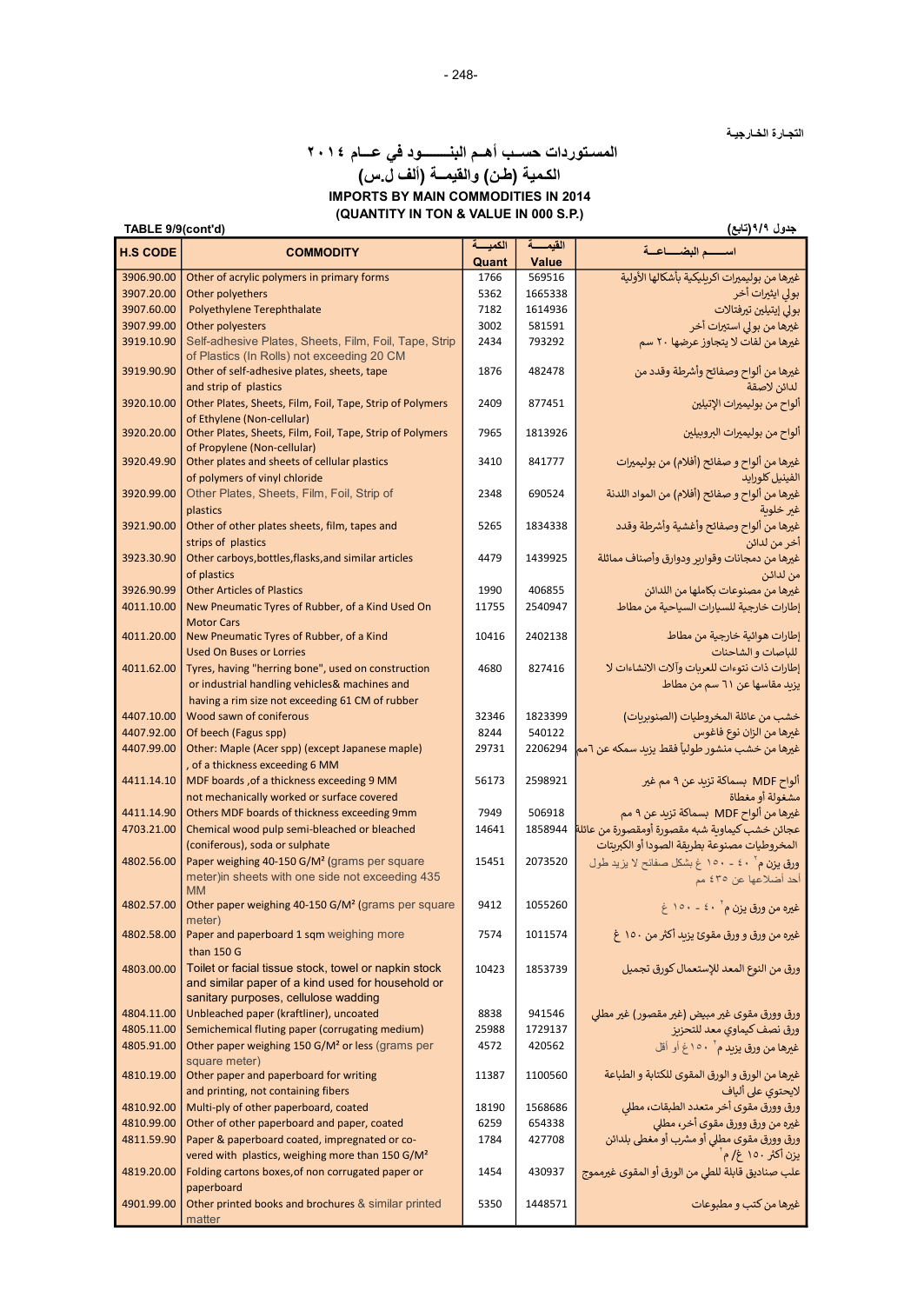التجـارة الخـارجيـة

# المسـتوردات حســب أهــم البنــــــــود في عـــام ٢٠١٤

## (QUANTITY IN TON & VALUE IN 000 S.P.) الكـمية (طـن) والقيمــة (ألف ل.س) IMPORTS BY MAIN COMMODITIES IN 2014

| الكمبسة<br>اسسه البضساعية<br><b>H.S CODE</b><br><b>COMMODITY</b><br>Quant<br>Value<br>غيرها من بوليميرات اكريليكية بأشكالها الأولية<br>3906.90.00<br>Other of acrylic polymers in primary forms<br>569516<br>1766<br>3907.20.00<br>Other polyethers<br>بولي ايثيرات أخر<br>5362<br>1665338<br>بولي إيتيلين تيرفتالات<br>3907.60.00<br>Polyethylene Terephthalate<br>1614936<br>7182<br>غیرها من بولی استیرات أخر<br>3907.99.00<br>Other polyesters<br>3002<br>581591<br>Self-adhesive Plates, Sheets, Film, Foil, Tape, Strip<br>غيرها من لفات لا يتجاوز عرضها ٢٠ سم<br>3919.10.90<br>793292<br>2434<br>of Plastics (In Rolls) not exceeding 20 CM<br>غيرها من ألواح وصفائح وأشرطة وقدد من<br>3919.90.90<br>Other of self-adhesive plates, sheets, tape<br>1876<br>482478<br>لدائن لاصقة<br>and strip of plastics<br>Other Plates, Sheets, Film, Foil, Tape, Strip of Polymers<br>ألواح من بوليميرات الإتيلين<br>3920.10.00<br>2409<br>877451<br>of Ethylene (Non-cellular)<br>Other Plates, Sheets, Film, Foil, Tape, Strip of Polymers<br>3920.20.00<br>7965<br>ألواح من بوليميرات البروبيلين<br>1813926<br>of Propylene (Non-cellular)<br>غيرها من ألواح و صفائح (أفلام) من بوليميرات<br>3920.49.90<br>Other plates and sheets of cellular plastics<br>3410<br>841777<br>of polymers of vinyl chloride<br>الفينيل كلورايد<br>غيرها من ألواح و صفائح (أفلام) من المواد اللدنة<br>Other Plates, Sheets, Film, Foil, Strip of<br>3920.99.00<br>690524<br>2348<br>plastics<br>غير خلوبة<br>غيرها من ألواح وصفائح وأغشية وأشرطة وقدد<br>Other of other plates sheets, film, tapes and<br>3921.90.00<br>5265<br>1834338<br>strips of plastics<br>آخر من لدائن<br>Other carboys, bottles, flasks, and similar articles<br>غيرها من دمجانات وقوارير ودوارق وأصناف مماثلة<br>3923.30.90<br>4479<br>1439925<br>of plastics<br>من لدائن<br>3926.90.99<br><b>Other Articles of Plastics</b><br>1990<br>406855<br>غيرها من مصنوعات بكاملها من اللدائن<br>New Pneumatic Tyres of Rubber, of a Kind Used On<br>4011.10.00<br>إطارات خارجية للسيارات السياحية من مطاط<br>11755<br>2540947<br><b>Motor Cars</b><br>New Pneumatic Tyres of Rubber, of a Kind<br>10416<br>2402138<br>إطارات هوائية خارجية من مطاط<br>4011.20.00<br><b>Used On Buses or Lorries</b><br>للباصات و الشاحنات<br>إطارات ذات نتوءات للعربات وآلات الانشاءات لا<br>Tyres, having "herring bone", used on construction<br>827416<br>4011.62.00<br>4680<br>or industrial handling vehicles& machines and<br>يزيد مقاسها عن ٦١ سم من مطاط<br>having a rim size not exceeding 61 CM of rubber<br>4407.10.00<br>Wood sawn of coniferous<br>32346<br>1823399<br>خشب من عائلة المخروطيات (الصنوبربات)<br>4407.92.00<br>Of beech (Fagus spp)<br>8244<br>540122<br>غيرها من الزان نوع فاغوس<br>غيرها من خشب منشور طولياً فقط يزيد سمكه عن ٦مم<br>4407.99.00<br>Other: Maple (Acer spp) (except Japanese maple)<br>29731<br>2206294<br>, of a thickness exceeding 6 MM<br>ألواح MDF بسماكة تزيد عن ٩ مم غير<br>MDF boards, of a thickness exceeding 9 MM<br>2598921<br>4411.14.10<br>56173<br>مشغولة أو مغطاة<br>not mechanically worked or surface covered<br>غيرها من ألواح MDF بسماكة تزيد عن ٩ مم<br>4411.14.90<br>Others MDF boards of thickness exceeding 9mm<br>7949<br>506918<br>عجائن خشب كيماوية شبه مقصورة أومقصورة من عائلة<br>4703.21.00<br>Chemical wood pulp semi-bleached or bleached<br>1858944<br>14641<br>المخروطيات مصنوعة بطريقة الصودا أو الكبريتات<br>(coniferous), soda or sulphate<br>4802.56.00<br>Paper weighing 40-150 G/M <sup>2</sup> (grams per square<br>2073520<br>15451<br>ورق یزن م آ ٤٠ - ١٥٠ غ بشكل صفائح لا يزيد طول<br>meter) in sheets with one side not exceeding 435<br>أحد أضلاعها عن ٤٣٥ مم<br><b>MM</b><br>Other paper weighing 40-150 G/M <sup>2</sup> (grams per square<br>4802.57.00<br>9412<br>1055260<br>غيره من ورق يزن م` ٤٠ - ١٥٠ غ<br>meter)<br>غيره من ورق و ورق مقوئ يزيد أكثر من ١٥٠ غ<br>4802.58.00<br>Paper and paperboard 1 sqm weighing more<br>7574<br>1011574<br>than 150 G<br>Toilet or facial tissue stock, towel or napkin stock<br>4803.00.00<br>10423<br>ورق من النوع المعد للإستعمال كورق تجميل<br>1853739<br>and similar paper of a kind used for household or<br>sanitary purposes, cellulose wadding<br>4804.11.00<br>Unbleached paper (kraftliner), uncoated<br>ورق وورق مقوى غير مبيض (غير مقصور) غير مطلي<br>8838<br>941546<br>4805.11.00<br>Semichemical fluting paper (corrugating medium)<br>ورق نصف كيماوي معد للتحزيز<br>25988<br>1729137<br>Other paper weighing 150 G/M <sup>2</sup> or less (grams per<br>4805.91.00<br>4572<br>420562<br>غيرها من ورق يزيد م` ١٥٠غ أو أقل<br>square meter)<br>Other paper and paperboard for writing<br>غيرها من الورق و الورق المقوى للكتابة و الطباعة<br>4810.19.00<br>11387<br>1100560<br>and printing, not containing fibers<br>لايحتوى على ألياف<br>ورق وورق مقوى أخر متعدد الطبقات، مطلى<br>Multi-ply of other paperboard, coated<br>1568686<br>4810.92.00<br>18190<br>غيره من ورق وورق مقوى أخر، مطلى<br>Other of other paperboard and paper, coated<br>4810.99.00<br>654338<br>6259<br>ورق وورق مقوى مطلي أو مشرب أو مغطى بلدائن<br>4811.59.90<br>Paper & paperboard coated, impregnated or co-<br>427708<br>1784<br>يزن أكثر ١٥٠ غ/ م<br>vered with plastics, weighing more than 150 G/M <sup>2</sup><br>علب صناديق قابلة للطي من الورق أو المقوى غيرمموج<br>Folding cartons boxes, of non corrugated paper or<br>4819.20.00<br>1454<br>430937<br>paperboard<br>غيرها من كتب و مطبوعات<br>Other printed books and brochures & similar printed<br>4901.99.00<br>5350<br>1448571<br>matter | جدول ۹/۹(تابع)<br>TABLE 9/9(cont'd) |  |  |         |  |  |
|----------------------------------------------------------------------------------------------------------------------------------------------------------------------------------------------------------------------------------------------------------------------------------------------------------------------------------------------------------------------------------------------------------------------------------------------------------------------------------------------------------------------------------------------------------------------------------------------------------------------------------------------------------------------------------------------------------------------------------------------------------------------------------------------------------------------------------------------------------------------------------------------------------------------------------------------------------------------------------------------------------------------------------------------------------------------------------------------------------------------------------------------------------------------------------------------------------------------------------------------------------------------------------------------------------------------------------------------------------------------------------------------------------------------------------------------------------------------------------------------------------------------------------------------------------------------------------------------------------------------------------------------------------------------------------------------------------------------------------------------------------------------------------------------------------------------------------------------------------------------------------------------------------------------------------------------------------------------------------------------------------------------------------------------------------------------------------------------------------------------------------------------------------------------------------------------------------------------------------------------------------------------------------------------------------------------------------------------------------------------------------------------------------------------------------------------------------------------------------------------------------------------------------------------------------------------------------------------------------------------------------------------------------------------------------------------------------------------------------------------------------------------------------------------------------------------------------------------------------------------------------------------------------------------------------------------------------------------------------------------------------------------------------------------------------------------------------------------------------------------------------------------------------------------------------------------------------------------------------------------------------------------------------------------------------------------------------------------------------------------------------------------------------------------------------------------------------------------------------------------------------------------------------------------------------------------------------------------------------------------------------------------------------------------------------------------------------------------------------------------------------------------------------------------------------------------------------------------------------------------------------------------------------------------------------------------------------------------------------------------------------------------------------------------------------------------------------------------------------------------------------------------------------------------------------------------------------------------------------------------------------------------------------------------------------------------------------------------------------------------------------------------------------------------------------------------------------------------------------------------------------------------------------------------------------------------------------------------------------------------------------------------------------------------------------------------------------------------------------------------------------------------------------------------------------------------------------------------------------------------------------------------------------------------------------------------------------------------------------------------------------------------------------------------------------------------------------------------------------------------------------------------------------------------------------------------------------------------------------------------------------------------------------------------------------------------------------------------------------------------------------------------------------------------------------------------------------------------------------------------------------------------------------------------------------------------|-------------------------------------|--|--|---------|--|--|
|                                                                                                                                                                                                                                                                                                                                                                                                                                                                                                                                                                                                                                                                                                                                                                                                                                                                                                                                                                                                                                                                                                                                                                                                                                                                                                                                                                                                                                                                                                                                                                                                                                                                                                                                                                                                                                                                                                                                                                                                                                                                                                                                                                                                                                                                                                                                                                                                                                                                                                                                                                                                                                                                                                                                                                                                                                                                                                                                                                                                                                                                                                                                                                                                                                                                                                                                                                                                                                                                                                                                                                                                                                                                                                                                                                                                                                                                                                                                                                                                                                                                                                                                                                                                                                                                                                                                                                                                                                                                                                                                                                                                                                                                                                                                                                                                                                                                                                                                                                                                                                                                                                                                                                                                                                                                                                                                                                                                                                                                                                                                                                      |                                     |  |  | القبمسة |  |  |
|                                                                                                                                                                                                                                                                                                                                                                                                                                                                                                                                                                                                                                                                                                                                                                                                                                                                                                                                                                                                                                                                                                                                                                                                                                                                                                                                                                                                                                                                                                                                                                                                                                                                                                                                                                                                                                                                                                                                                                                                                                                                                                                                                                                                                                                                                                                                                                                                                                                                                                                                                                                                                                                                                                                                                                                                                                                                                                                                                                                                                                                                                                                                                                                                                                                                                                                                                                                                                                                                                                                                                                                                                                                                                                                                                                                                                                                                                                                                                                                                                                                                                                                                                                                                                                                                                                                                                                                                                                                                                                                                                                                                                                                                                                                                                                                                                                                                                                                                                                                                                                                                                                                                                                                                                                                                                                                                                                                                                                                                                                                                                                      |                                     |  |  |         |  |  |
|                                                                                                                                                                                                                                                                                                                                                                                                                                                                                                                                                                                                                                                                                                                                                                                                                                                                                                                                                                                                                                                                                                                                                                                                                                                                                                                                                                                                                                                                                                                                                                                                                                                                                                                                                                                                                                                                                                                                                                                                                                                                                                                                                                                                                                                                                                                                                                                                                                                                                                                                                                                                                                                                                                                                                                                                                                                                                                                                                                                                                                                                                                                                                                                                                                                                                                                                                                                                                                                                                                                                                                                                                                                                                                                                                                                                                                                                                                                                                                                                                                                                                                                                                                                                                                                                                                                                                                                                                                                                                                                                                                                                                                                                                                                                                                                                                                                                                                                                                                                                                                                                                                                                                                                                                                                                                                                                                                                                                                                                                                                                                                      |                                     |  |  |         |  |  |
|                                                                                                                                                                                                                                                                                                                                                                                                                                                                                                                                                                                                                                                                                                                                                                                                                                                                                                                                                                                                                                                                                                                                                                                                                                                                                                                                                                                                                                                                                                                                                                                                                                                                                                                                                                                                                                                                                                                                                                                                                                                                                                                                                                                                                                                                                                                                                                                                                                                                                                                                                                                                                                                                                                                                                                                                                                                                                                                                                                                                                                                                                                                                                                                                                                                                                                                                                                                                                                                                                                                                                                                                                                                                                                                                                                                                                                                                                                                                                                                                                                                                                                                                                                                                                                                                                                                                                                                                                                                                                                                                                                                                                                                                                                                                                                                                                                                                                                                                                                                                                                                                                                                                                                                                                                                                                                                                                                                                                                                                                                                                                                      |                                     |  |  |         |  |  |
|                                                                                                                                                                                                                                                                                                                                                                                                                                                                                                                                                                                                                                                                                                                                                                                                                                                                                                                                                                                                                                                                                                                                                                                                                                                                                                                                                                                                                                                                                                                                                                                                                                                                                                                                                                                                                                                                                                                                                                                                                                                                                                                                                                                                                                                                                                                                                                                                                                                                                                                                                                                                                                                                                                                                                                                                                                                                                                                                                                                                                                                                                                                                                                                                                                                                                                                                                                                                                                                                                                                                                                                                                                                                                                                                                                                                                                                                                                                                                                                                                                                                                                                                                                                                                                                                                                                                                                                                                                                                                                                                                                                                                                                                                                                                                                                                                                                                                                                                                                                                                                                                                                                                                                                                                                                                                                                                                                                                                                                                                                                                                                      |                                     |  |  |         |  |  |
|                                                                                                                                                                                                                                                                                                                                                                                                                                                                                                                                                                                                                                                                                                                                                                                                                                                                                                                                                                                                                                                                                                                                                                                                                                                                                                                                                                                                                                                                                                                                                                                                                                                                                                                                                                                                                                                                                                                                                                                                                                                                                                                                                                                                                                                                                                                                                                                                                                                                                                                                                                                                                                                                                                                                                                                                                                                                                                                                                                                                                                                                                                                                                                                                                                                                                                                                                                                                                                                                                                                                                                                                                                                                                                                                                                                                                                                                                                                                                                                                                                                                                                                                                                                                                                                                                                                                                                                                                                                                                                                                                                                                                                                                                                                                                                                                                                                                                                                                                                                                                                                                                                                                                                                                                                                                                                                                                                                                                                                                                                                                                                      |                                     |  |  |         |  |  |
|                                                                                                                                                                                                                                                                                                                                                                                                                                                                                                                                                                                                                                                                                                                                                                                                                                                                                                                                                                                                                                                                                                                                                                                                                                                                                                                                                                                                                                                                                                                                                                                                                                                                                                                                                                                                                                                                                                                                                                                                                                                                                                                                                                                                                                                                                                                                                                                                                                                                                                                                                                                                                                                                                                                                                                                                                                                                                                                                                                                                                                                                                                                                                                                                                                                                                                                                                                                                                                                                                                                                                                                                                                                                                                                                                                                                                                                                                                                                                                                                                                                                                                                                                                                                                                                                                                                                                                                                                                                                                                                                                                                                                                                                                                                                                                                                                                                                                                                                                                                                                                                                                                                                                                                                                                                                                                                                                                                                                                                                                                                                                                      |                                     |  |  |         |  |  |
|                                                                                                                                                                                                                                                                                                                                                                                                                                                                                                                                                                                                                                                                                                                                                                                                                                                                                                                                                                                                                                                                                                                                                                                                                                                                                                                                                                                                                                                                                                                                                                                                                                                                                                                                                                                                                                                                                                                                                                                                                                                                                                                                                                                                                                                                                                                                                                                                                                                                                                                                                                                                                                                                                                                                                                                                                                                                                                                                                                                                                                                                                                                                                                                                                                                                                                                                                                                                                                                                                                                                                                                                                                                                                                                                                                                                                                                                                                                                                                                                                                                                                                                                                                                                                                                                                                                                                                                                                                                                                                                                                                                                                                                                                                                                                                                                                                                                                                                                                                                                                                                                                                                                                                                                                                                                                                                                                                                                                                                                                                                                                                      |                                     |  |  |         |  |  |
|                                                                                                                                                                                                                                                                                                                                                                                                                                                                                                                                                                                                                                                                                                                                                                                                                                                                                                                                                                                                                                                                                                                                                                                                                                                                                                                                                                                                                                                                                                                                                                                                                                                                                                                                                                                                                                                                                                                                                                                                                                                                                                                                                                                                                                                                                                                                                                                                                                                                                                                                                                                                                                                                                                                                                                                                                                                                                                                                                                                                                                                                                                                                                                                                                                                                                                                                                                                                                                                                                                                                                                                                                                                                                                                                                                                                                                                                                                                                                                                                                                                                                                                                                                                                                                                                                                                                                                                                                                                                                                                                                                                                                                                                                                                                                                                                                                                                                                                                                                                                                                                                                                                                                                                                                                                                                                                                                                                                                                                                                                                                                                      |                                     |  |  |         |  |  |
|                                                                                                                                                                                                                                                                                                                                                                                                                                                                                                                                                                                                                                                                                                                                                                                                                                                                                                                                                                                                                                                                                                                                                                                                                                                                                                                                                                                                                                                                                                                                                                                                                                                                                                                                                                                                                                                                                                                                                                                                                                                                                                                                                                                                                                                                                                                                                                                                                                                                                                                                                                                                                                                                                                                                                                                                                                                                                                                                                                                                                                                                                                                                                                                                                                                                                                                                                                                                                                                                                                                                                                                                                                                                                                                                                                                                                                                                                                                                                                                                                                                                                                                                                                                                                                                                                                                                                                                                                                                                                                                                                                                                                                                                                                                                                                                                                                                                                                                                                                                                                                                                                                                                                                                                                                                                                                                                                                                                                                                                                                                                                                      |                                     |  |  |         |  |  |
|                                                                                                                                                                                                                                                                                                                                                                                                                                                                                                                                                                                                                                                                                                                                                                                                                                                                                                                                                                                                                                                                                                                                                                                                                                                                                                                                                                                                                                                                                                                                                                                                                                                                                                                                                                                                                                                                                                                                                                                                                                                                                                                                                                                                                                                                                                                                                                                                                                                                                                                                                                                                                                                                                                                                                                                                                                                                                                                                                                                                                                                                                                                                                                                                                                                                                                                                                                                                                                                                                                                                                                                                                                                                                                                                                                                                                                                                                                                                                                                                                                                                                                                                                                                                                                                                                                                                                                                                                                                                                                                                                                                                                                                                                                                                                                                                                                                                                                                                                                                                                                                                                                                                                                                                                                                                                                                                                                                                                                                                                                                                                                      |                                     |  |  |         |  |  |
|                                                                                                                                                                                                                                                                                                                                                                                                                                                                                                                                                                                                                                                                                                                                                                                                                                                                                                                                                                                                                                                                                                                                                                                                                                                                                                                                                                                                                                                                                                                                                                                                                                                                                                                                                                                                                                                                                                                                                                                                                                                                                                                                                                                                                                                                                                                                                                                                                                                                                                                                                                                                                                                                                                                                                                                                                                                                                                                                                                                                                                                                                                                                                                                                                                                                                                                                                                                                                                                                                                                                                                                                                                                                                                                                                                                                                                                                                                                                                                                                                                                                                                                                                                                                                                                                                                                                                                                                                                                                                                                                                                                                                                                                                                                                                                                                                                                                                                                                                                                                                                                                                                                                                                                                                                                                                                                                                                                                                                                                                                                                                                      |                                     |  |  |         |  |  |
|                                                                                                                                                                                                                                                                                                                                                                                                                                                                                                                                                                                                                                                                                                                                                                                                                                                                                                                                                                                                                                                                                                                                                                                                                                                                                                                                                                                                                                                                                                                                                                                                                                                                                                                                                                                                                                                                                                                                                                                                                                                                                                                                                                                                                                                                                                                                                                                                                                                                                                                                                                                                                                                                                                                                                                                                                                                                                                                                                                                                                                                                                                                                                                                                                                                                                                                                                                                                                                                                                                                                                                                                                                                                                                                                                                                                                                                                                                                                                                                                                                                                                                                                                                                                                                                                                                                                                                                                                                                                                                                                                                                                                                                                                                                                                                                                                                                                                                                                                                                                                                                                                                                                                                                                                                                                                                                                                                                                                                                                                                                                                                      |                                     |  |  |         |  |  |
|                                                                                                                                                                                                                                                                                                                                                                                                                                                                                                                                                                                                                                                                                                                                                                                                                                                                                                                                                                                                                                                                                                                                                                                                                                                                                                                                                                                                                                                                                                                                                                                                                                                                                                                                                                                                                                                                                                                                                                                                                                                                                                                                                                                                                                                                                                                                                                                                                                                                                                                                                                                                                                                                                                                                                                                                                                                                                                                                                                                                                                                                                                                                                                                                                                                                                                                                                                                                                                                                                                                                                                                                                                                                                                                                                                                                                                                                                                                                                                                                                                                                                                                                                                                                                                                                                                                                                                                                                                                                                                                                                                                                                                                                                                                                                                                                                                                                                                                                                                                                                                                                                                                                                                                                                                                                                                                                                                                                                                                                                                                                                                      |                                     |  |  |         |  |  |
|                                                                                                                                                                                                                                                                                                                                                                                                                                                                                                                                                                                                                                                                                                                                                                                                                                                                                                                                                                                                                                                                                                                                                                                                                                                                                                                                                                                                                                                                                                                                                                                                                                                                                                                                                                                                                                                                                                                                                                                                                                                                                                                                                                                                                                                                                                                                                                                                                                                                                                                                                                                                                                                                                                                                                                                                                                                                                                                                                                                                                                                                                                                                                                                                                                                                                                                                                                                                                                                                                                                                                                                                                                                                                                                                                                                                                                                                                                                                                                                                                                                                                                                                                                                                                                                                                                                                                                                                                                                                                                                                                                                                                                                                                                                                                                                                                                                                                                                                                                                                                                                                                                                                                                                                                                                                                                                                                                                                                                                                                                                                                                      |                                     |  |  |         |  |  |
|                                                                                                                                                                                                                                                                                                                                                                                                                                                                                                                                                                                                                                                                                                                                                                                                                                                                                                                                                                                                                                                                                                                                                                                                                                                                                                                                                                                                                                                                                                                                                                                                                                                                                                                                                                                                                                                                                                                                                                                                                                                                                                                                                                                                                                                                                                                                                                                                                                                                                                                                                                                                                                                                                                                                                                                                                                                                                                                                                                                                                                                                                                                                                                                                                                                                                                                                                                                                                                                                                                                                                                                                                                                                                                                                                                                                                                                                                                                                                                                                                                                                                                                                                                                                                                                                                                                                                                                                                                                                                                                                                                                                                                                                                                                                                                                                                                                                                                                                                                                                                                                                                                                                                                                                                                                                                                                                                                                                                                                                                                                                                                      |                                     |  |  |         |  |  |
|                                                                                                                                                                                                                                                                                                                                                                                                                                                                                                                                                                                                                                                                                                                                                                                                                                                                                                                                                                                                                                                                                                                                                                                                                                                                                                                                                                                                                                                                                                                                                                                                                                                                                                                                                                                                                                                                                                                                                                                                                                                                                                                                                                                                                                                                                                                                                                                                                                                                                                                                                                                                                                                                                                                                                                                                                                                                                                                                                                                                                                                                                                                                                                                                                                                                                                                                                                                                                                                                                                                                                                                                                                                                                                                                                                                                                                                                                                                                                                                                                                                                                                                                                                                                                                                                                                                                                                                                                                                                                                                                                                                                                                                                                                                                                                                                                                                                                                                                                                                                                                                                                                                                                                                                                                                                                                                                                                                                                                                                                                                                                                      |                                     |  |  |         |  |  |
|                                                                                                                                                                                                                                                                                                                                                                                                                                                                                                                                                                                                                                                                                                                                                                                                                                                                                                                                                                                                                                                                                                                                                                                                                                                                                                                                                                                                                                                                                                                                                                                                                                                                                                                                                                                                                                                                                                                                                                                                                                                                                                                                                                                                                                                                                                                                                                                                                                                                                                                                                                                                                                                                                                                                                                                                                                                                                                                                                                                                                                                                                                                                                                                                                                                                                                                                                                                                                                                                                                                                                                                                                                                                                                                                                                                                                                                                                                                                                                                                                                                                                                                                                                                                                                                                                                                                                                                                                                                                                                                                                                                                                                                                                                                                                                                                                                                                                                                                                                                                                                                                                                                                                                                                                                                                                                                                                                                                                                                                                                                                                                      |                                     |  |  |         |  |  |
|                                                                                                                                                                                                                                                                                                                                                                                                                                                                                                                                                                                                                                                                                                                                                                                                                                                                                                                                                                                                                                                                                                                                                                                                                                                                                                                                                                                                                                                                                                                                                                                                                                                                                                                                                                                                                                                                                                                                                                                                                                                                                                                                                                                                                                                                                                                                                                                                                                                                                                                                                                                                                                                                                                                                                                                                                                                                                                                                                                                                                                                                                                                                                                                                                                                                                                                                                                                                                                                                                                                                                                                                                                                                                                                                                                                                                                                                                                                                                                                                                                                                                                                                                                                                                                                                                                                                                                                                                                                                                                                                                                                                                                                                                                                                                                                                                                                                                                                                                                                                                                                                                                                                                                                                                                                                                                                                                                                                                                                                                                                                                                      |                                     |  |  |         |  |  |
|                                                                                                                                                                                                                                                                                                                                                                                                                                                                                                                                                                                                                                                                                                                                                                                                                                                                                                                                                                                                                                                                                                                                                                                                                                                                                                                                                                                                                                                                                                                                                                                                                                                                                                                                                                                                                                                                                                                                                                                                                                                                                                                                                                                                                                                                                                                                                                                                                                                                                                                                                                                                                                                                                                                                                                                                                                                                                                                                                                                                                                                                                                                                                                                                                                                                                                                                                                                                                                                                                                                                                                                                                                                                                                                                                                                                                                                                                                                                                                                                                                                                                                                                                                                                                                                                                                                                                                                                                                                                                                                                                                                                                                                                                                                                                                                                                                                                                                                                                                                                                                                                                                                                                                                                                                                                                                                                                                                                                                                                                                                                                                      |                                     |  |  |         |  |  |
|                                                                                                                                                                                                                                                                                                                                                                                                                                                                                                                                                                                                                                                                                                                                                                                                                                                                                                                                                                                                                                                                                                                                                                                                                                                                                                                                                                                                                                                                                                                                                                                                                                                                                                                                                                                                                                                                                                                                                                                                                                                                                                                                                                                                                                                                                                                                                                                                                                                                                                                                                                                                                                                                                                                                                                                                                                                                                                                                                                                                                                                                                                                                                                                                                                                                                                                                                                                                                                                                                                                                                                                                                                                                                                                                                                                                                                                                                                                                                                                                                                                                                                                                                                                                                                                                                                                                                                                                                                                                                                                                                                                                                                                                                                                                                                                                                                                                                                                                                                                                                                                                                                                                                                                                                                                                                                                                                                                                                                                                                                                                                                      |                                     |  |  |         |  |  |
|                                                                                                                                                                                                                                                                                                                                                                                                                                                                                                                                                                                                                                                                                                                                                                                                                                                                                                                                                                                                                                                                                                                                                                                                                                                                                                                                                                                                                                                                                                                                                                                                                                                                                                                                                                                                                                                                                                                                                                                                                                                                                                                                                                                                                                                                                                                                                                                                                                                                                                                                                                                                                                                                                                                                                                                                                                                                                                                                                                                                                                                                                                                                                                                                                                                                                                                                                                                                                                                                                                                                                                                                                                                                                                                                                                                                                                                                                                                                                                                                                                                                                                                                                                                                                                                                                                                                                                                                                                                                                                                                                                                                                                                                                                                                                                                                                                                                                                                                                                                                                                                                                                                                                                                                                                                                                                                                                                                                                                                                                                                                                                      |                                     |  |  |         |  |  |
|                                                                                                                                                                                                                                                                                                                                                                                                                                                                                                                                                                                                                                                                                                                                                                                                                                                                                                                                                                                                                                                                                                                                                                                                                                                                                                                                                                                                                                                                                                                                                                                                                                                                                                                                                                                                                                                                                                                                                                                                                                                                                                                                                                                                                                                                                                                                                                                                                                                                                                                                                                                                                                                                                                                                                                                                                                                                                                                                                                                                                                                                                                                                                                                                                                                                                                                                                                                                                                                                                                                                                                                                                                                                                                                                                                                                                                                                                                                                                                                                                                                                                                                                                                                                                                                                                                                                                                                                                                                                                                                                                                                                                                                                                                                                                                                                                                                                                                                                                                                                                                                                                                                                                                                                                                                                                                                                                                                                                                                                                                                                                                      |                                     |  |  |         |  |  |
|                                                                                                                                                                                                                                                                                                                                                                                                                                                                                                                                                                                                                                                                                                                                                                                                                                                                                                                                                                                                                                                                                                                                                                                                                                                                                                                                                                                                                                                                                                                                                                                                                                                                                                                                                                                                                                                                                                                                                                                                                                                                                                                                                                                                                                                                                                                                                                                                                                                                                                                                                                                                                                                                                                                                                                                                                                                                                                                                                                                                                                                                                                                                                                                                                                                                                                                                                                                                                                                                                                                                                                                                                                                                                                                                                                                                                                                                                                                                                                                                                                                                                                                                                                                                                                                                                                                                                                                                                                                                                                                                                                                                                                                                                                                                                                                                                                                                                                                                                                                                                                                                                                                                                                                                                                                                                                                                                                                                                                                                                                                                                                      |                                     |  |  |         |  |  |
|                                                                                                                                                                                                                                                                                                                                                                                                                                                                                                                                                                                                                                                                                                                                                                                                                                                                                                                                                                                                                                                                                                                                                                                                                                                                                                                                                                                                                                                                                                                                                                                                                                                                                                                                                                                                                                                                                                                                                                                                                                                                                                                                                                                                                                                                                                                                                                                                                                                                                                                                                                                                                                                                                                                                                                                                                                                                                                                                                                                                                                                                                                                                                                                                                                                                                                                                                                                                                                                                                                                                                                                                                                                                                                                                                                                                                                                                                                                                                                                                                                                                                                                                                                                                                                                                                                                                                                                                                                                                                                                                                                                                                                                                                                                                                                                                                                                                                                                                                                                                                                                                                                                                                                                                                                                                                                                                                                                                                                                                                                                                                                      |                                     |  |  |         |  |  |
|                                                                                                                                                                                                                                                                                                                                                                                                                                                                                                                                                                                                                                                                                                                                                                                                                                                                                                                                                                                                                                                                                                                                                                                                                                                                                                                                                                                                                                                                                                                                                                                                                                                                                                                                                                                                                                                                                                                                                                                                                                                                                                                                                                                                                                                                                                                                                                                                                                                                                                                                                                                                                                                                                                                                                                                                                                                                                                                                                                                                                                                                                                                                                                                                                                                                                                                                                                                                                                                                                                                                                                                                                                                                                                                                                                                                                                                                                                                                                                                                                                                                                                                                                                                                                                                                                                                                                                                                                                                                                                                                                                                                                                                                                                                                                                                                                                                                                                                                                                                                                                                                                                                                                                                                                                                                                                                                                                                                                                                                                                                                                                      |                                     |  |  |         |  |  |
|                                                                                                                                                                                                                                                                                                                                                                                                                                                                                                                                                                                                                                                                                                                                                                                                                                                                                                                                                                                                                                                                                                                                                                                                                                                                                                                                                                                                                                                                                                                                                                                                                                                                                                                                                                                                                                                                                                                                                                                                                                                                                                                                                                                                                                                                                                                                                                                                                                                                                                                                                                                                                                                                                                                                                                                                                                                                                                                                                                                                                                                                                                                                                                                                                                                                                                                                                                                                                                                                                                                                                                                                                                                                                                                                                                                                                                                                                                                                                                                                                                                                                                                                                                                                                                                                                                                                                                                                                                                                                                                                                                                                                                                                                                                                                                                                                                                                                                                                                                                                                                                                                                                                                                                                                                                                                                                                                                                                                                                                                                                                                                      |                                     |  |  |         |  |  |
|                                                                                                                                                                                                                                                                                                                                                                                                                                                                                                                                                                                                                                                                                                                                                                                                                                                                                                                                                                                                                                                                                                                                                                                                                                                                                                                                                                                                                                                                                                                                                                                                                                                                                                                                                                                                                                                                                                                                                                                                                                                                                                                                                                                                                                                                                                                                                                                                                                                                                                                                                                                                                                                                                                                                                                                                                                                                                                                                                                                                                                                                                                                                                                                                                                                                                                                                                                                                                                                                                                                                                                                                                                                                                                                                                                                                                                                                                                                                                                                                                                                                                                                                                                                                                                                                                                                                                                                                                                                                                                                                                                                                                                                                                                                                                                                                                                                                                                                                                                                                                                                                                                                                                                                                                                                                                                                                                                                                                                                                                                                                                                      |                                     |  |  |         |  |  |
|                                                                                                                                                                                                                                                                                                                                                                                                                                                                                                                                                                                                                                                                                                                                                                                                                                                                                                                                                                                                                                                                                                                                                                                                                                                                                                                                                                                                                                                                                                                                                                                                                                                                                                                                                                                                                                                                                                                                                                                                                                                                                                                                                                                                                                                                                                                                                                                                                                                                                                                                                                                                                                                                                                                                                                                                                                                                                                                                                                                                                                                                                                                                                                                                                                                                                                                                                                                                                                                                                                                                                                                                                                                                                                                                                                                                                                                                                                                                                                                                                                                                                                                                                                                                                                                                                                                                                                                                                                                                                                                                                                                                                                                                                                                                                                                                                                                                                                                                                                                                                                                                                                                                                                                                                                                                                                                                                                                                                                                                                                                                                                      |                                     |  |  |         |  |  |
|                                                                                                                                                                                                                                                                                                                                                                                                                                                                                                                                                                                                                                                                                                                                                                                                                                                                                                                                                                                                                                                                                                                                                                                                                                                                                                                                                                                                                                                                                                                                                                                                                                                                                                                                                                                                                                                                                                                                                                                                                                                                                                                                                                                                                                                                                                                                                                                                                                                                                                                                                                                                                                                                                                                                                                                                                                                                                                                                                                                                                                                                                                                                                                                                                                                                                                                                                                                                                                                                                                                                                                                                                                                                                                                                                                                                                                                                                                                                                                                                                                                                                                                                                                                                                                                                                                                                                                                                                                                                                                                                                                                                                                                                                                                                                                                                                                                                                                                                                                                                                                                                                                                                                                                                                                                                                                                                                                                                                                                                                                                                                                      |                                     |  |  |         |  |  |
|                                                                                                                                                                                                                                                                                                                                                                                                                                                                                                                                                                                                                                                                                                                                                                                                                                                                                                                                                                                                                                                                                                                                                                                                                                                                                                                                                                                                                                                                                                                                                                                                                                                                                                                                                                                                                                                                                                                                                                                                                                                                                                                                                                                                                                                                                                                                                                                                                                                                                                                                                                                                                                                                                                                                                                                                                                                                                                                                                                                                                                                                                                                                                                                                                                                                                                                                                                                                                                                                                                                                                                                                                                                                                                                                                                                                                                                                                                                                                                                                                                                                                                                                                                                                                                                                                                                                                                                                                                                                                                                                                                                                                                                                                                                                                                                                                                                                                                                                                                                                                                                                                                                                                                                                                                                                                                                                                                                                                                                                                                                                                                      |                                     |  |  |         |  |  |
|                                                                                                                                                                                                                                                                                                                                                                                                                                                                                                                                                                                                                                                                                                                                                                                                                                                                                                                                                                                                                                                                                                                                                                                                                                                                                                                                                                                                                                                                                                                                                                                                                                                                                                                                                                                                                                                                                                                                                                                                                                                                                                                                                                                                                                                                                                                                                                                                                                                                                                                                                                                                                                                                                                                                                                                                                                                                                                                                                                                                                                                                                                                                                                                                                                                                                                                                                                                                                                                                                                                                                                                                                                                                                                                                                                                                                                                                                                                                                                                                                                                                                                                                                                                                                                                                                                                                                                                                                                                                                                                                                                                                                                                                                                                                                                                                                                                                                                                                                                                                                                                                                                                                                                                                                                                                                                                                                                                                                                                                                                                                                                      |                                     |  |  |         |  |  |
|                                                                                                                                                                                                                                                                                                                                                                                                                                                                                                                                                                                                                                                                                                                                                                                                                                                                                                                                                                                                                                                                                                                                                                                                                                                                                                                                                                                                                                                                                                                                                                                                                                                                                                                                                                                                                                                                                                                                                                                                                                                                                                                                                                                                                                                                                                                                                                                                                                                                                                                                                                                                                                                                                                                                                                                                                                                                                                                                                                                                                                                                                                                                                                                                                                                                                                                                                                                                                                                                                                                                                                                                                                                                                                                                                                                                                                                                                                                                                                                                                                                                                                                                                                                                                                                                                                                                                                                                                                                                                                                                                                                                                                                                                                                                                                                                                                                                                                                                                                                                                                                                                                                                                                                                                                                                                                                                                                                                                                                                                                                                                                      |                                     |  |  |         |  |  |
|                                                                                                                                                                                                                                                                                                                                                                                                                                                                                                                                                                                                                                                                                                                                                                                                                                                                                                                                                                                                                                                                                                                                                                                                                                                                                                                                                                                                                                                                                                                                                                                                                                                                                                                                                                                                                                                                                                                                                                                                                                                                                                                                                                                                                                                                                                                                                                                                                                                                                                                                                                                                                                                                                                                                                                                                                                                                                                                                                                                                                                                                                                                                                                                                                                                                                                                                                                                                                                                                                                                                                                                                                                                                                                                                                                                                                                                                                                                                                                                                                                                                                                                                                                                                                                                                                                                                                                                                                                                                                                                                                                                                                                                                                                                                                                                                                                                                                                                                                                                                                                                                                                                                                                                                                                                                                                                                                                                                                                                                                                                                                                      |                                     |  |  |         |  |  |
|                                                                                                                                                                                                                                                                                                                                                                                                                                                                                                                                                                                                                                                                                                                                                                                                                                                                                                                                                                                                                                                                                                                                                                                                                                                                                                                                                                                                                                                                                                                                                                                                                                                                                                                                                                                                                                                                                                                                                                                                                                                                                                                                                                                                                                                                                                                                                                                                                                                                                                                                                                                                                                                                                                                                                                                                                                                                                                                                                                                                                                                                                                                                                                                                                                                                                                                                                                                                                                                                                                                                                                                                                                                                                                                                                                                                                                                                                                                                                                                                                                                                                                                                                                                                                                                                                                                                                                                                                                                                                                                                                                                                                                                                                                                                                                                                                                                                                                                                                                                                                                                                                                                                                                                                                                                                                                                                                                                                                                                                                                                                                                      |                                     |  |  |         |  |  |
|                                                                                                                                                                                                                                                                                                                                                                                                                                                                                                                                                                                                                                                                                                                                                                                                                                                                                                                                                                                                                                                                                                                                                                                                                                                                                                                                                                                                                                                                                                                                                                                                                                                                                                                                                                                                                                                                                                                                                                                                                                                                                                                                                                                                                                                                                                                                                                                                                                                                                                                                                                                                                                                                                                                                                                                                                                                                                                                                                                                                                                                                                                                                                                                                                                                                                                                                                                                                                                                                                                                                                                                                                                                                                                                                                                                                                                                                                                                                                                                                                                                                                                                                                                                                                                                                                                                                                                                                                                                                                                                                                                                                                                                                                                                                                                                                                                                                                                                                                                                                                                                                                                                                                                                                                                                                                                                                                                                                                                                                                                                                                                      |                                     |  |  |         |  |  |
|                                                                                                                                                                                                                                                                                                                                                                                                                                                                                                                                                                                                                                                                                                                                                                                                                                                                                                                                                                                                                                                                                                                                                                                                                                                                                                                                                                                                                                                                                                                                                                                                                                                                                                                                                                                                                                                                                                                                                                                                                                                                                                                                                                                                                                                                                                                                                                                                                                                                                                                                                                                                                                                                                                                                                                                                                                                                                                                                                                                                                                                                                                                                                                                                                                                                                                                                                                                                                                                                                                                                                                                                                                                                                                                                                                                                                                                                                                                                                                                                                                                                                                                                                                                                                                                                                                                                                                                                                                                                                                                                                                                                                                                                                                                                                                                                                                                                                                                                                                                                                                                                                                                                                                                                                                                                                                                                                                                                                                                                                                                                                                      |                                     |  |  |         |  |  |
|                                                                                                                                                                                                                                                                                                                                                                                                                                                                                                                                                                                                                                                                                                                                                                                                                                                                                                                                                                                                                                                                                                                                                                                                                                                                                                                                                                                                                                                                                                                                                                                                                                                                                                                                                                                                                                                                                                                                                                                                                                                                                                                                                                                                                                                                                                                                                                                                                                                                                                                                                                                                                                                                                                                                                                                                                                                                                                                                                                                                                                                                                                                                                                                                                                                                                                                                                                                                                                                                                                                                                                                                                                                                                                                                                                                                                                                                                                                                                                                                                                                                                                                                                                                                                                                                                                                                                                                                                                                                                                                                                                                                                                                                                                                                                                                                                                                                                                                                                                                                                                                                                                                                                                                                                                                                                                                                                                                                                                                                                                                                                                      |                                     |  |  |         |  |  |
|                                                                                                                                                                                                                                                                                                                                                                                                                                                                                                                                                                                                                                                                                                                                                                                                                                                                                                                                                                                                                                                                                                                                                                                                                                                                                                                                                                                                                                                                                                                                                                                                                                                                                                                                                                                                                                                                                                                                                                                                                                                                                                                                                                                                                                                                                                                                                                                                                                                                                                                                                                                                                                                                                                                                                                                                                                                                                                                                                                                                                                                                                                                                                                                                                                                                                                                                                                                                                                                                                                                                                                                                                                                                                                                                                                                                                                                                                                                                                                                                                                                                                                                                                                                                                                                                                                                                                                                                                                                                                                                                                                                                                                                                                                                                                                                                                                                                                                                                                                                                                                                                                                                                                                                                                                                                                                                                                                                                                                                                                                                                                                      |                                     |  |  |         |  |  |
|                                                                                                                                                                                                                                                                                                                                                                                                                                                                                                                                                                                                                                                                                                                                                                                                                                                                                                                                                                                                                                                                                                                                                                                                                                                                                                                                                                                                                                                                                                                                                                                                                                                                                                                                                                                                                                                                                                                                                                                                                                                                                                                                                                                                                                                                                                                                                                                                                                                                                                                                                                                                                                                                                                                                                                                                                                                                                                                                                                                                                                                                                                                                                                                                                                                                                                                                                                                                                                                                                                                                                                                                                                                                                                                                                                                                                                                                                                                                                                                                                                                                                                                                                                                                                                                                                                                                                                                                                                                                                                                                                                                                                                                                                                                                                                                                                                                                                                                                                                                                                                                                                                                                                                                                                                                                                                                                                                                                                                                                                                                                                                      |                                     |  |  |         |  |  |
|                                                                                                                                                                                                                                                                                                                                                                                                                                                                                                                                                                                                                                                                                                                                                                                                                                                                                                                                                                                                                                                                                                                                                                                                                                                                                                                                                                                                                                                                                                                                                                                                                                                                                                                                                                                                                                                                                                                                                                                                                                                                                                                                                                                                                                                                                                                                                                                                                                                                                                                                                                                                                                                                                                                                                                                                                                                                                                                                                                                                                                                                                                                                                                                                                                                                                                                                                                                                                                                                                                                                                                                                                                                                                                                                                                                                                                                                                                                                                                                                                                                                                                                                                                                                                                                                                                                                                                                                                                                                                                                                                                                                                                                                                                                                                                                                                                                                                                                                                                                                                                                                                                                                                                                                                                                                                                                                                                                                                                                                                                                                                                      |                                     |  |  |         |  |  |
|                                                                                                                                                                                                                                                                                                                                                                                                                                                                                                                                                                                                                                                                                                                                                                                                                                                                                                                                                                                                                                                                                                                                                                                                                                                                                                                                                                                                                                                                                                                                                                                                                                                                                                                                                                                                                                                                                                                                                                                                                                                                                                                                                                                                                                                                                                                                                                                                                                                                                                                                                                                                                                                                                                                                                                                                                                                                                                                                                                                                                                                                                                                                                                                                                                                                                                                                                                                                                                                                                                                                                                                                                                                                                                                                                                                                                                                                                                                                                                                                                                                                                                                                                                                                                                                                                                                                                                                                                                                                                                                                                                                                                                                                                                                                                                                                                                                                                                                                                                                                                                                                                                                                                                                                                                                                                                                                                                                                                                                                                                                                                                      |                                     |  |  |         |  |  |
|                                                                                                                                                                                                                                                                                                                                                                                                                                                                                                                                                                                                                                                                                                                                                                                                                                                                                                                                                                                                                                                                                                                                                                                                                                                                                                                                                                                                                                                                                                                                                                                                                                                                                                                                                                                                                                                                                                                                                                                                                                                                                                                                                                                                                                                                                                                                                                                                                                                                                                                                                                                                                                                                                                                                                                                                                                                                                                                                                                                                                                                                                                                                                                                                                                                                                                                                                                                                                                                                                                                                                                                                                                                                                                                                                                                                                                                                                                                                                                                                                                                                                                                                                                                                                                                                                                                                                                                                                                                                                                                                                                                                                                                                                                                                                                                                                                                                                                                                                                                                                                                                                                                                                                                                                                                                                                                                                                                                                                                                                                                                                                      |                                     |  |  |         |  |  |
|                                                                                                                                                                                                                                                                                                                                                                                                                                                                                                                                                                                                                                                                                                                                                                                                                                                                                                                                                                                                                                                                                                                                                                                                                                                                                                                                                                                                                                                                                                                                                                                                                                                                                                                                                                                                                                                                                                                                                                                                                                                                                                                                                                                                                                                                                                                                                                                                                                                                                                                                                                                                                                                                                                                                                                                                                                                                                                                                                                                                                                                                                                                                                                                                                                                                                                                                                                                                                                                                                                                                                                                                                                                                                                                                                                                                                                                                                                                                                                                                                                                                                                                                                                                                                                                                                                                                                                                                                                                                                                                                                                                                                                                                                                                                                                                                                                                                                                                                                                                                                                                                                                                                                                                                                                                                                                                                                                                                                                                                                                                                                                      |                                     |  |  |         |  |  |
|                                                                                                                                                                                                                                                                                                                                                                                                                                                                                                                                                                                                                                                                                                                                                                                                                                                                                                                                                                                                                                                                                                                                                                                                                                                                                                                                                                                                                                                                                                                                                                                                                                                                                                                                                                                                                                                                                                                                                                                                                                                                                                                                                                                                                                                                                                                                                                                                                                                                                                                                                                                                                                                                                                                                                                                                                                                                                                                                                                                                                                                                                                                                                                                                                                                                                                                                                                                                                                                                                                                                                                                                                                                                                                                                                                                                                                                                                                                                                                                                                                                                                                                                                                                                                                                                                                                                                                                                                                                                                                                                                                                                                                                                                                                                                                                                                                                                                                                                                                                                                                                                                                                                                                                                                                                                                                                                                                                                                                                                                                                                                                      |                                     |  |  |         |  |  |
|                                                                                                                                                                                                                                                                                                                                                                                                                                                                                                                                                                                                                                                                                                                                                                                                                                                                                                                                                                                                                                                                                                                                                                                                                                                                                                                                                                                                                                                                                                                                                                                                                                                                                                                                                                                                                                                                                                                                                                                                                                                                                                                                                                                                                                                                                                                                                                                                                                                                                                                                                                                                                                                                                                                                                                                                                                                                                                                                                                                                                                                                                                                                                                                                                                                                                                                                                                                                                                                                                                                                                                                                                                                                                                                                                                                                                                                                                                                                                                                                                                                                                                                                                                                                                                                                                                                                                                                                                                                                                                                                                                                                                                                                                                                                                                                                                                                                                                                                                                                                                                                                                                                                                                                                                                                                                                                                                                                                                                                                                                                                                                      |                                     |  |  |         |  |  |
|                                                                                                                                                                                                                                                                                                                                                                                                                                                                                                                                                                                                                                                                                                                                                                                                                                                                                                                                                                                                                                                                                                                                                                                                                                                                                                                                                                                                                                                                                                                                                                                                                                                                                                                                                                                                                                                                                                                                                                                                                                                                                                                                                                                                                                                                                                                                                                                                                                                                                                                                                                                                                                                                                                                                                                                                                                                                                                                                                                                                                                                                                                                                                                                                                                                                                                                                                                                                                                                                                                                                                                                                                                                                                                                                                                                                                                                                                                                                                                                                                                                                                                                                                                                                                                                                                                                                                                                                                                                                                                                                                                                                                                                                                                                                                                                                                                                                                                                                                                                                                                                                                                                                                                                                                                                                                                                                                                                                                                                                                                                                                                      |                                     |  |  |         |  |  |
|                                                                                                                                                                                                                                                                                                                                                                                                                                                                                                                                                                                                                                                                                                                                                                                                                                                                                                                                                                                                                                                                                                                                                                                                                                                                                                                                                                                                                                                                                                                                                                                                                                                                                                                                                                                                                                                                                                                                                                                                                                                                                                                                                                                                                                                                                                                                                                                                                                                                                                                                                                                                                                                                                                                                                                                                                                                                                                                                                                                                                                                                                                                                                                                                                                                                                                                                                                                                                                                                                                                                                                                                                                                                                                                                                                                                                                                                                                                                                                                                                                                                                                                                                                                                                                                                                                                                                                                                                                                                                                                                                                                                                                                                                                                                                                                                                                                                                                                                                                                                                                                                                                                                                                                                                                                                                                                                                                                                                                                                                                                                                                      |                                     |  |  |         |  |  |
|                                                                                                                                                                                                                                                                                                                                                                                                                                                                                                                                                                                                                                                                                                                                                                                                                                                                                                                                                                                                                                                                                                                                                                                                                                                                                                                                                                                                                                                                                                                                                                                                                                                                                                                                                                                                                                                                                                                                                                                                                                                                                                                                                                                                                                                                                                                                                                                                                                                                                                                                                                                                                                                                                                                                                                                                                                                                                                                                                                                                                                                                                                                                                                                                                                                                                                                                                                                                                                                                                                                                                                                                                                                                                                                                                                                                                                                                                                                                                                                                                                                                                                                                                                                                                                                                                                                                                                                                                                                                                                                                                                                                                                                                                                                                                                                                                                                                                                                                                                                                                                                                                                                                                                                                                                                                                                                                                                                                                                                                                                                                                                      |                                     |  |  |         |  |  |
|                                                                                                                                                                                                                                                                                                                                                                                                                                                                                                                                                                                                                                                                                                                                                                                                                                                                                                                                                                                                                                                                                                                                                                                                                                                                                                                                                                                                                                                                                                                                                                                                                                                                                                                                                                                                                                                                                                                                                                                                                                                                                                                                                                                                                                                                                                                                                                                                                                                                                                                                                                                                                                                                                                                                                                                                                                                                                                                                                                                                                                                                                                                                                                                                                                                                                                                                                                                                                                                                                                                                                                                                                                                                                                                                                                                                                                                                                                                                                                                                                                                                                                                                                                                                                                                                                                                                                                                                                                                                                                                                                                                                                                                                                                                                                                                                                                                                                                                                                                                                                                                                                                                                                                                                                                                                                                                                                                                                                                                                                                                                                                      |                                     |  |  |         |  |  |
|                                                                                                                                                                                                                                                                                                                                                                                                                                                                                                                                                                                                                                                                                                                                                                                                                                                                                                                                                                                                                                                                                                                                                                                                                                                                                                                                                                                                                                                                                                                                                                                                                                                                                                                                                                                                                                                                                                                                                                                                                                                                                                                                                                                                                                                                                                                                                                                                                                                                                                                                                                                                                                                                                                                                                                                                                                                                                                                                                                                                                                                                                                                                                                                                                                                                                                                                                                                                                                                                                                                                                                                                                                                                                                                                                                                                                                                                                                                                                                                                                                                                                                                                                                                                                                                                                                                                                                                                                                                                                                                                                                                                                                                                                                                                                                                                                                                                                                                                                                                                                                                                                                                                                                                                                                                                                                                                                                                                                                                                                                                                                                      |                                     |  |  |         |  |  |
|                                                                                                                                                                                                                                                                                                                                                                                                                                                                                                                                                                                                                                                                                                                                                                                                                                                                                                                                                                                                                                                                                                                                                                                                                                                                                                                                                                                                                                                                                                                                                                                                                                                                                                                                                                                                                                                                                                                                                                                                                                                                                                                                                                                                                                                                                                                                                                                                                                                                                                                                                                                                                                                                                                                                                                                                                                                                                                                                                                                                                                                                                                                                                                                                                                                                                                                                                                                                                                                                                                                                                                                                                                                                                                                                                                                                                                                                                                                                                                                                                                                                                                                                                                                                                                                                                                                                                                                                                                                                                                                                                                                                                                                                                                                                                                                                                                                                                                                                                                                                                                                                                                                                                                                                                                                                                                                                                                                                                                                                                                                                                                      |                                     |  |  |         |  |  |
|                                                                                                                                                                                                                                                                                                                                                                                                                                                                                                                                                                                                                                                                                                                                                                                                                                                                                                                                                                                                                                                                                                                                                                                                                                                                                                                                                                                                                                                                                                                                                                                                                                                                                                                                                                                                                                                                                                                                                                                                                                                                                                                                                                                                                                                                                                                                                                                                                                                                                                                                                                                                                                                                                                                                                                                                                                                                                                                                                                                                                                                                                                                                                                                                                                                                                                                                                                                                                                                                                                                                                                                                                                                                                                                                                                                                                                                                                                                                                                                                                                                                                                                                                                                                                                                                                                                                                                                                                                                                                                                                                                                                                                                                                                                                                                                                                                                                                                                                                                                                                                                                                                                                                                                                                                                                                                                                                                                                                                                                                                                                                                      |                                     |  |  |         |  |  |
|                                                                                                                                                                                                                                                                                                                                                                                                                                                                                                                                                                                                                                                                                                                                                                                                                                                                                                                                                                                                                                                                                                                                                                                                                                                                                                                                                                                                                                                                                                                                                                                                                                                                                                                                                                                                                                                                                                                                                                                                                                                                                                                                                                                                                                                                                                                                                                                                                                                                                                                                                                                                                                                                                                                                                                                                                                                                                                                                                                                                                                                                                                                                                                                                                                                                                                                                                                                                                                                                                                                                                                                                                                                                                                                                                                                                                                                                                                                                                                                                                                                                                                                                                                                                                                                                                                                                                                                                                                                                                                                                                                                                                                                                                                                                                                                                                                                                                                                                                                                                                                                                                                                                                                                                                                                                                                                                                                                                                                                                                                                                                                      |                                     |  |  |         |  |  |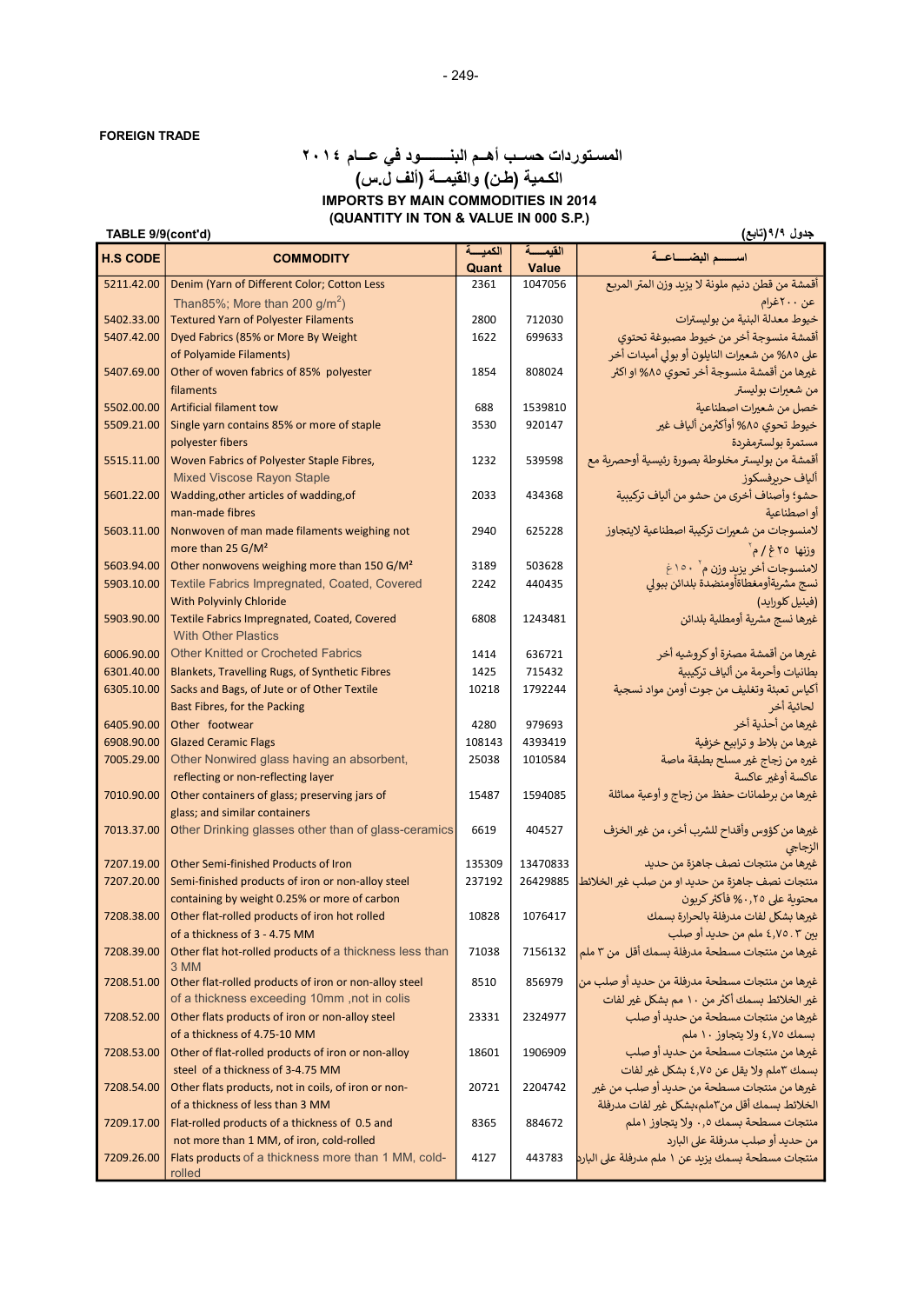## (QUANTITY IN TON & VALUE IN 000 S.P.) تابعة المستشركة المستشركة المستشركة المستشركة المستشركة (تابع) المستشركة (TABLE 9/9(cont'd) المسـتوردات حســب أهــم البنــــــــود في عـــام ٢٠١٤ الكـمية (طـن) والقيمــة (ألف ل.س) IMPORTS BY MAIN COMMODITIES IN 2014

| <b>H.S CODE</b> | <b>COMMODITY</b>                                              | الكمبسة | القبمسة  | اسسسم البضساعسة                                           |
|-----------------|---------------------------------------------------------------|---------|----------|-----------------------------------------------------------|
|                 |                                                               | Quant   | Value    |                                                           |
| 5211.42.00      | Denim (Yarn of Different Color; Cotton Less                   | 2361    | 1047056  | أقمشة من قطن دنيم ملونة لا يزيد وزن المتر المربع          |
|                 | Than85%; More than 200 $g/m^2$ )                              |         |          | عن ٢٠٠غرام                                                |
| 5402.33.00      | <b>Textured Yarn of Polyester Filaments</b>                   | 2800    | 712030   | خيوط معدلة البنية من بوليسترات                            |
| 5407.42.00      | Dyed Fabrics (85% or More By Weight                           | 1622    | 699633   | أقمشة منسوجة أخر من خيوط مصبوغة تحتوي                     |
|                 | of Polyamide Filaments)                                       |         |          | على ٨٥% من شعيرات النايلون أو بولي أميدات أخر             |
| 5407.69.00      | Other of woven fabrics of 85% polyester                       | 1854    | 808024   | غيرها من أقمشة منسوجة أخر تحوي ٨٥% او اكثر                |
|                 | filaments                                                     |         |          | من شعيرات بوليستر                                         |
| 5502.00.00      | <b>Artificial filament tow</b>                                | 688     | 1539810  | خصل من شعيرات اصطناعية                                    |
| 5509.21.00      | Single yarn contains 85% or more of staple                    | 3530    | 920147   | خيوط تحوي ٨٥% أوأكثرمن ألياف غير                          |
|                 | polyester fibers                                              |         |          | مستمرة بولسترمفردة                                        |
| 5515.11.00      | Woven Fabrics of Polyester Staple Fibres,                     | 1232    | 539598   | أقمشة من بوليستر مخلوطة بصورة رئيسية أوحصرية مع           |
|                 | <b>Mixed Viscose Rayon Staple</b>                             |         |          | ألياف حربرفسكوز                                           |
| 5601.22.00      | Wadding, other articles of wadding, of                        | 2033    | 434368   | حشو؛ وأصناف أخرى من حشو من ألياف تركيبية                  |
|                 | man-made fibres                                               |         |          | أو اصطناعية                                               |
| 5603.11.00      | Nonwoven of man made filaments weighing not                   | 2940    | 625228   | لامنسوجات من شعيرات تركيبة اصطناعية لايتجاوز              |
|                 | more than 25 G/M <sup>2</sup>                                 |         |          | وزنها ٢٥غ/مَ                                              |
| 5603.94.00      | Other nonwovens weighing more than 150 G/M <sup>2</sup>       | 3189    | 503628   | لامنسوجات أخر يزيد وزن م` ١٥٠غ                            |
| 5903.10.00      | Textile Fabrics Impregnated, Coated, Covered                  | 2242    | 440435   | نسج مشريةأومغطاةأومنضدة بلدائن ببولي                      |
|                 | With Polyvinly Chloride                                       |         |          | (فينيل كلورايد)                                           |
| 5903.90.00      | Textile Fabrics Impregnated, Coated, Covered                  | 6808    | 1243481  | غيرها نسج مشرية أومطلية بلدائن                            |
|                 | <b>With Other Plastics</b>                                    |         |          |                                                           |
| 6006.90.00      | <b>Other Knitted or Crocheted Fabrics</b>                     | 1414    | 636721   | غيرها من أقمشة مصنرة أو كروشيه أخر                        |
| 6301.40.00      | Blankets, Travelling Rugs, of Synthetic Fibres                | 1425    | 715432   | بطانيات وأحرمة من ألياف تركيبية                           |
| 6305.10.00      | Sacks and Bags, of Jute or of Other Textile                   | 10218   | 1792244  | أكياس تعبئة وتغليف من جوت أومن مواد نسجية                 |
|                 | Bast Fibres, for the Packing                                  |         |          | لحائية أخر                                                |
| 6405.90.00      | Other footwear                                                | 4280    | 979693   | غيرها من أحذية أخر                                        |
| 6908.90.00      | <b>Glazed Ceramic Flags</b>                                   | 108143  | 4393419  | غيرها من بلاط و ترابيع خزفية                              |
| 7005.29.00      | Other Nonwired glass having an absorbent,                     | 25038   | 1010584  | غيره من زجاج غير مسلح بطبقة ماصة                          |
|                 | reflecting or non-reflecting layer                            |         |          | عاكسة أوغير عاكسة                                         |
| 7010.90.00      | Other containers of glass; preserving jars of                 | 15487   | 1594085  | غيرها من برطمانات حفظ من زجاج و أوعية مماثلة              |
|                 | glass; and similar containers                                 |         |          |                                                           |
| 7013.37.00      | Other Drinking glasses other than of glass-ceramics           | 6619    | 404527   | غيرها من كؤوس وأقداح للشرب أخر، من غير الخزف              |
|                 |                                                               |         |          | الزجاجي                                                   |
| 7207.19.00      | Other Semi-finished Products of Iron                          | 135309  | 13470833 | غيرها من منتجات نصف جاهزة من حديد                         |
| 7207.20.00      | Semi-finished products of iron or non-alloy steel             | 237192  |          | منتجات نصف جاهزة من حديد او من صلب غير الخلائط   26429885 |
|                 | containing by weight 0.25% or more of carbon                  |         |          | محتوية على ٠٫٢٥% فأكثر كربون                              |
| 7208.38.00      | Other flat-rolled products of iron hot rolled                 | 10828   | 1076417  | غيرها بشكل لفات مدرفلة بالحرارة بسمك                      |
|                 | of a thickness of 3 - 4.75 MM                                 |         |          | بين ٤,٧٥.٣ ملم من حديد أو صلب                             |
| 7208.39.00      | Other flat hot-rolled products of a thickness less than       | 71038   | 7156132  | غيرها من منتجات مسطحة مدرفلة بسمك أقل من ٣ ملم            |
| 7208.51.00      | 3 MM<br>Other flat-rolled products of iron or non-alloy steel | 8510    | 856979   | غيرها من منتجات مسطحة مدرفلة من حديد أو صلب من            |
|                 | of a thickness exceeding 10mm, not in colis                   |         |          | غير الخلائط بسمك أكثر من ١٠ مم بشكل غير لفات              |
| 7208.52.00      | Other flats products of iron or non-alloy steel               | 23331   | 2324977  | غيرها من منتجات مسطحة من حديد أو صلب                      |
|                 | of a thickness of 4.75-10 MM                                  |         |          | بسمك ٤,٧٥ ولا يتجاوز ١٠ ملم                               |
| 7208.53.00      | Other of flat-rolled products of iron or non-alloy            | 18601   | 1906909  | غيرها من منتجات مسطحة من حديد أو صلب                      |
|                 | steel of a thickness of 3-4.75 MM                             |         |          | بسمك ٣ملم ولا يقل عن ٤٫٧٥ بشكل غير لفات                   |
| 7208.54.00      | Other flats products, not in coils, of iron or non-           | 20721   | 2204742  | غيرها من منتجات مسطحة من حديد أو صلب من غير               |
|                 | of a thickness of less than 3 MM                              |         |          | الخلائط بسمك أقل من٣ملم،بشكل غير لفات مدرفلة              |
| 7209.17.00      | Flat-rolled products of a thickness of 0.5 and                | 8365    | 884672   | منتجات مسطحة بسمك ٠٫٥ ولا يتجاوز ١ملم                     |
|                 | not more than 1 MM, of iron, cold-rolled                      |         |          | من حديد أو صلب مدرفلة على البارد                          |
| 7209.26.00      | Flats products of a thickness more than 1 MM, cold-           | 4127    | 443783   | منتجات مسطحة بسمك يزيد عن ١ ملم مدرفلة على البارد         |
|                 | rolled                                                        |         |          |                                                           |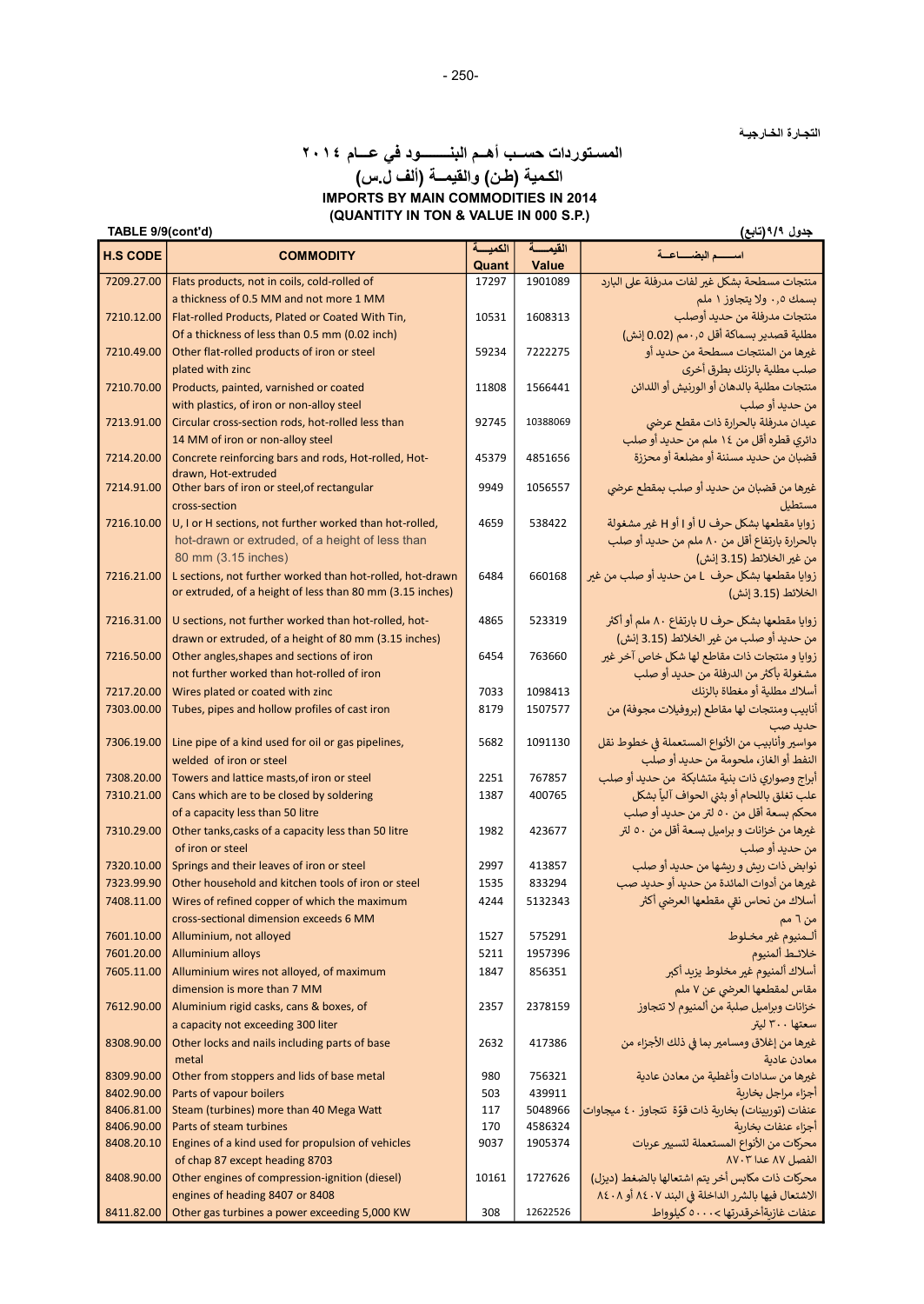جدول ٩/٩(تابع)

# المسـتوردات حســب أهــم البنــــــــود في عـــام ٢٠١٤ الكـمية (طـن) والقيمــة (ألف ل.س) IMPORTS BY MAIN COMMODITIES IN 2014

(QUANTITY IN TON & VALUE IN 000 S.P.)

| TABLE 9/9(cont'd) |
|-------------------|
|-------------------|

| <b>H.S CODE</b> | <b>COMMODITY</b>                                          | الكميسة | القيمسة  | اسسسم البضساعية                                    |
|-----------------|-----------------------------------------------------------|---------|----------|----------------------------------------------------|
|                 |                                                           | Quant   | Value    |                                                    |
| 7209.27.00      | Flats products, not in coils, cold-rolled of              | 17297   | 1901089  | منتجات مسطحة بشكل غير لفات مدرفلة على البارد       |
|                 | a thickness of 0.5 MM and not more 1 MM                   |         |          | بسمك ٠٫٥ ولا يتجاوز ١ ملم                          |
| 7210.12.00      | Flat-rolled Products, Plated or Coated With Tin,          | 10531   | 1608313  | منتجات مدرفلة من حديد أوصلب                        |
|                 | Of a thickness of less than 0.5 mm (0.02 inch)            |         |          | مطلية قصدير بسماكة أقل ٠٫٥مم (0.02 إنش)            |
| 7210.49.00      | Other flat-rolled products of iron or steel               | 59234   | 7222275  | غيرها من المنتجات مسطحة من حديد أو                 |
|                 | plated with zinc                                          |         |          | صلب مطلية بالزنك بطرق أخرى                         |
| 7210.70.00      | Products, painted, varnished or coated                    | 11808   | 1566441  | منتجات مطلية بالدهان أو الورنيش أو اللدائن         |
|                 | with plastics, of iron or non-alloy steel                 |         |          | من حديد أو صلب                                     |
| 7213.91.00      | Circular cross-section rods, hot-rolled less than         | 92745   | 10388069 | عيدان مدرفلة بالحرارة ذات مقطع عرضى                |
|                 | 14 MM of iron or non-alloy steel                          |         |          | دائري قطره أقل من ١٤ ملم من حديد أو صلب            |
| 7214.20.00      | Concrete reinforcing bars and rods, Hot-rolled, Hot-      | 45379   | 4851656  | قضبان من حديد مسننة أو مضلعة أو محززة              |
|                 | drawn. Hot-extruded                                       |         |          |                                                    |
| 7214.91.00      | Other bars of iron or steel, of rectangular               | 9949    | 1056557  | غيرها من قضبان من حديد أو صلب بمقطع عرضي           |
|                 | cross-section                                             |         |          | مستطيل                                             |
| 7216.10.00      | U, I or H sections, not further worked than hot-rolled,   | 4659    | 538422   | زوايا مقطعها بشكل حرف U أو I أو H غير مشغولة       |
|                 | hot-drawn or extruded, of a height of less than           |         |          | بالحرارة بارتفاع أقل من ٨٠ ملم من حديد أو صلب      |
|                 | 80 mm (3.15 inches)                                       |         |          | من غير الخلائط (3.15 إنش)                          |
| 7216.21.00      | L sections, not further worked than hot-rolled, hot-drawn | 6484    | 660168   | زوايا مقطعها بشكل حرف L من حديد أو صلب من غير      |
|                 | or extruded, of a height of less than 80 mm (3.15 inches) |         |          | الخلائط (3.15 إنش)                                 |
|                 |                                                           |         |          |                                                    |
| 7216.31.00      | U sections, not further worked than hot-rolled, hot-      | 4865    | 523319   | زوايا مقطعها بشكل حرف U بارتفاع ٨٠ ملم أو أكثر     |
|                 | drawn or extruded, of a height of 80 mm (3.15 inches)     |         |          | من حديد أو صلب من غير الخلائط (3.15 إنش)           |
| 7216.50.00      | Other angles, shapes and sections of iron                 | 6454    | 763660   | زوايا و منتجات ذات مقاطع لها شكل خاص آخر غير       |
|                 | not further worked than hot-rolled of iron                |         |          | مشغولة بأكثر من الدرفلة من حديد أو صلب             |
| 7217.20.00      | Wires plated or coated with zinc                          | 7033    | 1098413  | أسلاك مطلية أو مغطاة بالزنك                        |
| 7303.00.00      | Tubes, pipes and hollow profiles of cast iron             | 8179    | 1507577  | أنابيب ومنتجات لها مقاطع (بروفيلات مجوفة) من       |
|                 |                                                           |         |          | حديد صب                                            |
| 7306.19.00      | Line pipe of a kind used for oil or gas pipelines,        | 5682    | 1091130  | مواسير وأنابيب من الأنواع المستعملة في خطوط نقل    |
|                 | welded of iron or steel                                   |         |          | النفط أو الغاز، ملحومة من حديد أو صلب              |
| 7308.20.00      | Towers and lattice masts, of iron or steel                | 2251    | 767857   | أبراج وصواري ذات بنية متشابكة  من حديد أو صلب      |
| 7310.21.00      | Cans which are to be closed by soldering                  | 1387    | 400765   | علب تغلق باللحام أو بثني الحواف آلياً بشكل         |
|                 | of a capacity less than 50 litre                          |         |          | محكم بسعة أقل من ٥٠ لتر من حديد أو صلب             |
| 7310.29.00      | Other tanks, casks of a capacity less than 50 litre       | 1982    | 423677   | غيرها من خزانات و براميل بسعة أقل من ٥٠ لتر        |
|                 | of iron or steel                                          |         |          | من حديد أو صلب                                     |
| 7320.10.00      | Springs and their leaves of iron or steel                 | 2997    | 413857   | نوابض ذات ريش و ريشها من حديد أو صلب               |
| 7323.99.90      | Other household and kitchen tools of iron or steel        | 1535    | 833294   | غيرها من أدوات المائدة من حديد أو حديد صب          |
| 7408.11.00      | Wires of refined copper of which the maximum              | 4244    | 5132343  | أسلاك من نحاس نقى مقطعها العرضي أكثر               |
|                 | cross-sectional dimension exceeds 6 MM                    |         |          | من ٦ مم                                            |
| 7601.10.00      | Alluminium, not alloyed                                   | 1527    | 575291   | ألـمنيوم غير مخـلوط                                |
| 7601.20.00      | <b>Alluminium alloys</b>                                  | 5211    | 1957396  | خلائط ألمنيوم                                      |
| 7605.11.00      | Alluminium wires not alloyed, of maximum                  | 1847    | 856351   | أسلاك ألمنيوم غير مخلوط يزبد أكبر                  |
|                 | dimension is more than 7 MM                               |         |          | مقاس لمقطعها العرضى عن ٧ ملم                       |
| 7612.90.00      |                                                           |         | 2378159  |                                                    |
|                 | Aluminium rigid casks, cans & boxes, of                   | 2357    |          | خزانات وبراميل صلبة من ألمنيوم لا تتجاوز           |
|                 | a capacity not exceeding 300 liter                        |         |          | سعتها ۳۰۰ لیتر                                     |
| 8308.90.00      | Other locks and nails including parts of base             | 2632    | 417386   | غيرها من إغلاق ومسامير بما في ذلك الأجزاء من       |
|                 | metal                                                     |         |          | معادن عادية                                        |
| 8309.90.00      | Other from stoppers and lids of base metal                | 980     | 756321   | غيرها من سدادات وأغطية من معادن عادية              |
| 8402.90.00      | Parts of vapour boilers                                   | 503     | 439911   | أجزاء مراجل بخارية                                 |
| 8406.81.00      | Steam (turbines) more than 40 Mega Watt                   | 117     | 5048966  | عنفات (توربينات) بخارية ذات قوّة تتجاوز ٤٠ ميجاوات |
| 8406.90.00      | Parts of steam turbines                                   | 170     | 4586324  | أجزاء عنفات بخاربة                                 |
| 8408.20.10      | Engines of a kind used for propulsion of vehicles         | 9037    | 1905374  | محركات من الأنواع المستعملة لتسيير عربات           |
|                 | of chap 87 except heading 8703                            |         |          | الفصل ٨٧ عدا ٨٧٠٣                                  |
| 8408.90.00      | Other engines of compression-ignition (diesel)            | 10161   | 1727626  | محركات ذات مكابس أخر يتم اشتعالها بالضغط (ديزل)    |
|                 | engines of heading 8407 or 8408                           |         |          | الاشتعال فيها بالشرر الداخلة في البند ٨٤٠٧ أو ٨٤٠٨ |
| 8411.82.00      | Other gas turbines a power exceeding 5,000 KW             | 308     | 12622526 | عنفات غازيةأخرقدرتها > ٥٠٠٠ كيلوواط                |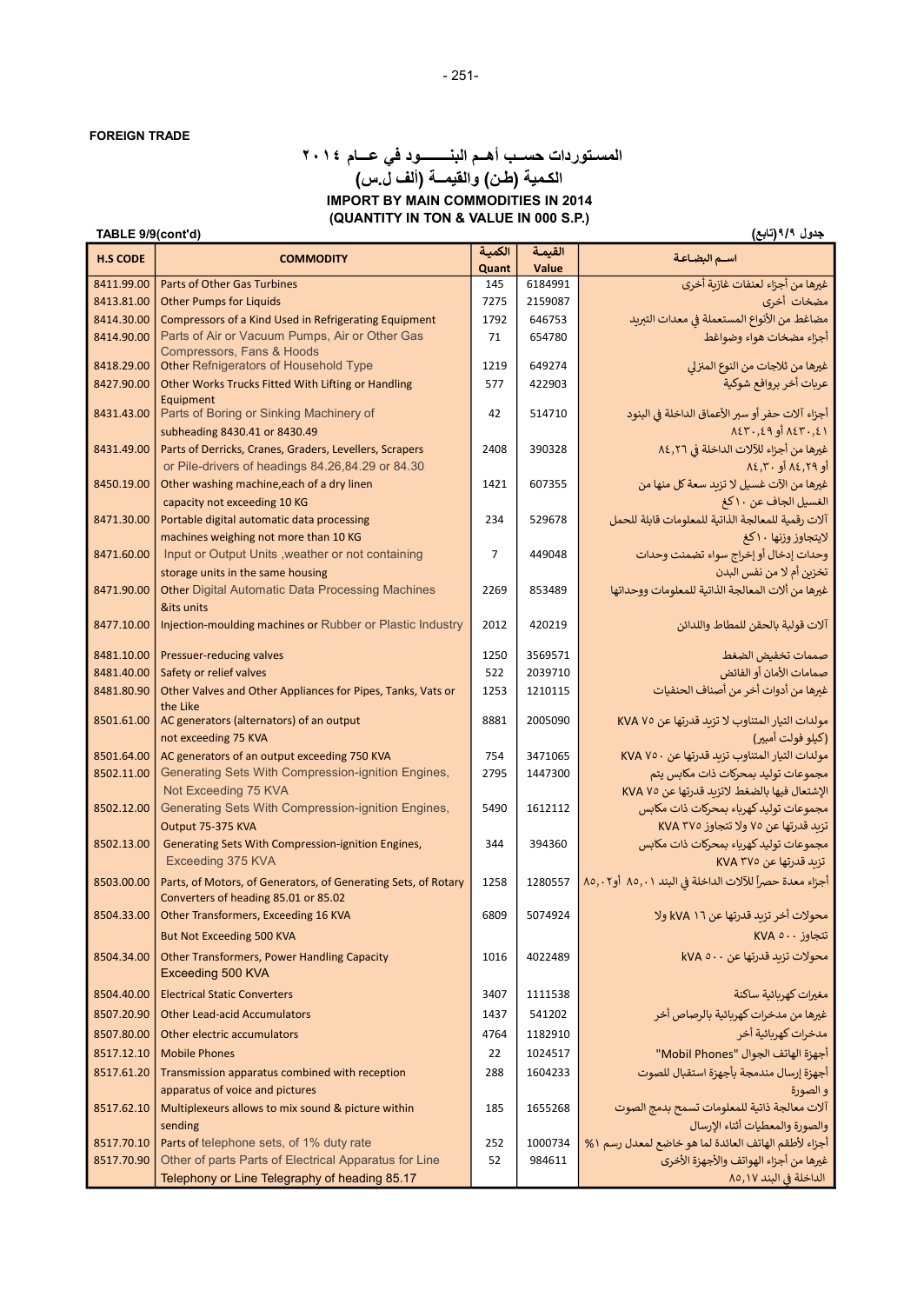## (QUANTITY IN TON & VALUE IN 000 S.P.) جدول ۹/۹(تابع) (تابع) (1.5 TABLE 9/9(cont'd) المسـتوردات حســب أهــم البنــــــــود في عـــام ٢٠١٤ الكـمية (طـن) والقيمــة (ألف ل.س) IMPORT BY MAIN COMMODITIES IN 2014

| <b>H.S CODE</b> | <b>COMMODITY</b>                                                                             | الكمية         | القيمة  | اسم البضاعة                                                                |
|-----------------|----------------------------------------------------------------------------------------------|----------------|---------|----------------------------------------------------------------------------|
|                 |                                                                                              | Quant          | Value   |                                                                            |
| 8411.99.00      | Parts of Other Gas Turbines                                                                  | 145            | 6184991 | غيرها من أجزاء لعنفات غازية أخرى                                           |
| 8413.81.00      | <b>Other Pumps for Liquids</b>                                                               | 7275           | 2159087 | مضخات أخرى                                                                 |
| 8414.30.00      | Compressors of a Kind Used in Refrigerating Equipment                                        | 1792           | 646753  | مضاغط من الأنواع المستعملة في معدات التبريد                                |
| 8414.90.00      | Parts of Air or Vacuum Pumps, Air or Other Gas<br><b>Compressors, Fans &amp; Hoods</b>       | 71             | 654780  | أجزاء مضخات هواء وضواغط                                                    |
| 8418.29.00      | Other Refnigerators of Household Type                                                        | 1219           | 649274  | غيرها من ثلاجات من النوع المنزلي                                           |
| 8427.90.00      | Other Works Trucks Fitted With Lifting or Handling                                           | 577            | 422903  | عربات أخر بروافع شوكية                                                     |
| 8431.43.00      | Equipment<br>Parts of Boring or Sinking Machinery of                                         | 42             | 514710  | أجزاء آلات حفر أو سبر الأعماق الداخلة في البنود                            |
|                 | subheading 8430.41 or 8430.49                                                                |                |         | $\Lambda$ ٤٣٠,٤٩ أو $\Lambda$ ٤٣٠,٤١                                       |
| 8431.49.00      | Parts of Derricks, Cranes, Graders, Levellers, Scrapers                                      | 2408           | 390328  | غيرها من أجزاء للآلات الداخلة في ٨٤,٢٦                                     |
|                 | or Pile-drivers of headings 84.26,84.29 or 84.30                                             |                |         | أو ٨٤,٢٩ أو ٨٤,٢٠                                                          |
| 8450.19.00      | Other washing machine, each of a dry linen                                                   | 1421           | 607355  | غيرها من الآت غسيل لا تزيد سعة كل منها من                                  |
|                 | capacity not exceeding 10 KG                                                                 | 234            |         | الغسيل الجاف عن ١٠ كغ<br>آلات رقمية للمعالجة الذاتية للمعلومات قابلة للحمل |
| 8471.30.00      | Portable digital automatic data processing                                                   |                | 529678  |                                                                            |
|                 | machines weighing not more than 10 KG<br>Input or Output Units, weather or not containing    | $\overline{7}$ | 449048  | لايتجاوز وزنها ١٠ كغ<br>وحدات إدخال أو إخراج سواء تضمنت وحدات              |
| 8471.60.00      |                                                                                              |                |         |                                                                            |
| 8471.90.00      | storage units in the same housing<br><b>Other Digital Automatic Data Processing Machines</b> | 2269           | 853489  | تخزين أم لا من نفس البدن                                                   |
|                 |                                                                                              |                |         | غيرها من ألات المعالجة الذاتية للمعلومات ووحداتها                          |
| 8477.10.00      | &its units                                                                                   |                | 420219  |                                                                            |
|                 | Injection-moulding machines or Rubber or Plastic Industry                                    | 2012           |         | آلات قولبة بالحقن للمطاط واللدائن                                          |
| 8481.10.00      | Pressuer-reducing valves                                                                     | 1250           | 3569571 | صممات تخفيض الضغط                                                          |
| 8481.40.00      | Safety or relief valves                                                                      | 522            | 2039710 | صمامات الأمان أو الفائض                                                    |
| 8481.80.90      | Other Valves and Other Appliances for Pipes, Tanks, Vats or<br>the Like                      | 1253           | 1210115 | غيرها من أدوات أخر من أصناف الحنفيات                                       |
| 8501.61.00      | AC generators (alternators) of an output                                                     | 8881           | 2005090 | مولدات التيار المتناوب لا تزيد قدرتها عن 20 KVA                            |
|                 | not exceeding 75 KVA                                                                         |                |         | (كيلو فولت أمبير)                                                          |
| 8501.64.00      | AC generators of an output exceeding 750 KVA                                                 | 754            | 3471065 | مولدات التيار المتناوب تزيد قدرتها عن ٧٥٠ KVA                              |
| 8502.11.00      | Generating Sets With Compression-ignition Engines,                                           | 2795           | 1447300 | مجموعات توليد بمحركات ذات مكابس يتم                                        |
|                 | Not Exceeding 75 KVA                                                                         |                |         | الإشتعال فيها بالضغط لاتزبد قدرتها عن ٧٥ KVA                               |
| 8502.12.00      | Generating Sets With Compression-ignition Engines,                                           | 5490           | 1612112 | مجموعات توليد كهرباء بمحركات ذات مكابس                                     |
|                 | Output 75-375 KVA                                                                            |                |         | تزيد قدرتها عن ٧٥ ولا تتجاوز ٢٧٥ KVA                                       |
| 8502.13.00      | Generating Sets With Compression-ignition Engines,                                           | 344            | 394360  | مجموعات توليد كهرباء بمحركات ذات مكابس                                     |
|                 | Exceeding 375 KVA                                                                            |                |         | تزيد قدرتها عن KVA ۳۷٥                                                     |
| 8503.00.00      | Parts, of Motors, of Generators, of Generating Sets, of Rotary                               | 1258           | 1280557 | أجزاء معدة حصراً للآلات الداخلة في البند ٨٥,٠١ أو٨٥,٠٢                     |
|                 | Converters of heading 85.01 or 85.02                                                         |                |         |                                                                            |
| 8504.33.00      | Other Transformers, Exceeding 16 KVA                                                         | 6809           | 5074924 | محولات أخر تزيد قدرتها عن 11 kVA ولا                                       |
|                 | <b>But Not Exceeding 500 KVA</b>                                                             |                |         | تتجاوز ٢٧A ٥٠٠                                                             |
| 8504.34.00      | <b>Other Transformers, Power Handling Capacity</b><br>Exceeding 500 KVA                      | 1016           | 4022489 | محولات تزيد قدرتها عن ٥٠٠ kVA                                              |
| 8504.40.00      | <b>Electrical Static Converters</b>                                                          | 3407           | 1111538 | مغيرات كهربائية ساكنة                                                      |
| 8507.20.90      | <b>Other Lead-acid Accumulators</b>                                                          | 1437           | 541202  | غيرها من مدخرات كهربائية بالرصاص أخر                                       |
|                 |                                                                                              |                | 1182910 |                                                                            |
| 8507.80.00      | Other electric accumulators                                                                  | 4764           |         | مدخرات كهربائية أخر                                                        |
| 8517.12.10      | <b>Mobile Phones</b>                                                                         | 22             | 1024517 | أجهزة الهاتف الجوال "Mobil Phones"                                         |
| 8517.61.20      | Transmission apparatus combined with reception                                               | 288            | 1604233 | أجهزة إرسال مندمجة بأجهزة استقبال للصوت                                    |
|                 | apparatus of voice and pictures                                                              |                |         | و الصورة                                                                   |
| 8517.62.10      | Multiplexeurs allows to mix sound & picture within                                           | 185            | 1655268 | آلات معالجة ذاتية للمعلومات تسمح بدمج الصوت                                |
|                 | sending                                                                                      |                |         | والصورة والمعطيات أثناء الإرسال                                            |
| 8517.70.10      | Parts of telephone sets, of 1% duty rate                                                     | 252            | 1000734 | أجزاء لأطقم الهاتف العائدة لما هو خاضع لمعدل رسم ١ %                       |
| 8517.70.90      | Other of parts Parts of Electrical Apparatus for Line                                        | 52             | 984611  | غيرها من أجزاء الهواتف والأجهزة الأخرى                                     |
|                 | Telephony or Line Telegraphy of heading 85.17                                                |                |         | الداخلة في البند ٨٥,١٧                                                     |